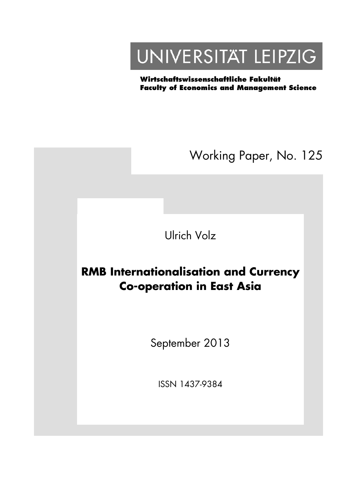

**Wirtschaftswissenschaftliche Fakultät Faculty of Economics and Management Science**

# Working Paper, No. 125

Ulrich Volz

## **RMB Internationalisation and Currency Co-operation in East Asia**

September 2013

ISSN 1437-9384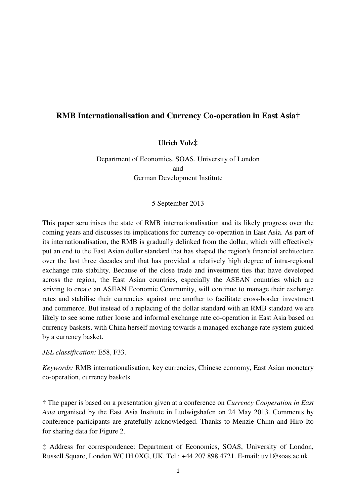## **RMB Internationalisation and Currency Co-operation in East Asia†**

#### **Ulrich Volz‡**

Department of Economics, SOAS, University of London and German Development Institute

#### 5 September 2013

This paper scrutinises the state of RMB internationalisation and its likely progress over the coming years and discusses its implications for currency co-operation in East Asia. As part of its internationalisation, the RMB is gradually delinked from the dollar, which will effectively put an end to the East Asian dollar standard that has shaped the region's financial architecture over the last three decades and that has provided a relatively high degree of intra-regional exchange rate stability. Because of the close trade and investment ties that have developed across the region, the East Asian countries, especially the ASEAN countries which are striving to create an ASEAN Economic Community, will continue to manage their exchange rates and stabilise their currencies against one another to facilitate cross-border investment and commerce. But instead of a replacing of the dollar standard with an RMB standard we are likely to see some rather loose and informal exchange rate co-operation in East Asia based on currency baskets, with China herself moving towards a managed exchange rate system guided by a currency basket.

*JEL classification:* E58, F33.

*Keywords:* RMB internationalisation, key currencies, Chinese economy, East Asian monetary co-operation, currency baskets.

**†** The paper is based on a presentation given at a conference on *Currency Cooperation in East Asia* organised by the East Asia Institute in Ludwigshafen on 24 May 2013. Comments by conference participants are gratefully acknowledged. Thanks to Menzie Chinn and Hiro Ito for sharing data for Figure 2.

**‡** Address for correspondence: Department of Economics, SOAS, University of London, Russell Square, London WC1H 0XG, UK. Tel.: +44 207 898 4721. E-mail: uv1@soas.ac.uk.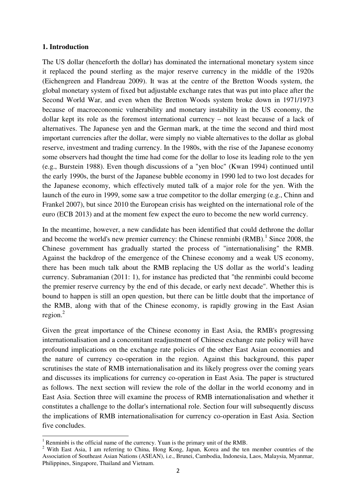#### **1. Introduction**

l

The US dollar (henceforth the dollar) has dominated the international monetary system since it replaced the pound sterling as the major reserve currency in the middle of the 1920s (Eichengreen and Flandreau 2009). It was at the centre of the Bretton Woods system, the global monetary system of fixed but adjustable exchange rates that was put into place after the Second World War, and even when the Bretton Woods system broke down in 1971/1973 because of macroeconomic vulnerability and monetary instability in the US economy, the dollar kept its role as the foremost international currency – not least because of a lack of alternatives. The Japanese yen and the German mark, at the time the second and third most important currencies after the dollar, were simply no viable alternatives to the dollar as global reserve, investment and trading currency. In the 1980s, with the rise of the Japanese economy some observers had thought the time had come for the dollar to lose its leading role to the yen (e.g., Burstein 1988). Even though discussions of a "yen bloc" (Kwan 1994) continued until the early 1990s, the burst of the Japanese bubble economy in 1990 led to two lost decades for the Japanese economy, which effectively muted talk of a major role for the yen. With the launch of the euro in 1999, some saw a true competitor to the dollar emerging (e.g., Chinn and Frankel 2007), but since 2010 the European crisis has weighted on the international role of the euro (ECB 2013) and at the moment few expect the euro to become the new world currency.

In the meantime, however, a new candidate has been identified that could dethrone the dollar and become the world's new premier currency: the Chinese renminbi  $(RMB)$ .<sup>1</sup> Since 2008, the Chinese government has gradually started the process of "internationalising" the RMB. Against the backdrop of the emergence of the Chinese economy and a weak US economy, there has been much talk about the RMB replacing the US dollar as the world's leading currency. Subramanian (2011: 1), for instance has predicted that "the renminbi could become the premier reserve currency by the end of this decade, or early next decade". Whether this is bound to happen is still an open question, but there can be little doubt that the importance of the RMB, along with that of the Chinese economy, is rapidly growing in the East Asian region. $^{2}$ 

Given the great importance of the Chinese economy in East Asia, the RMB's progressing internationalisation and a concomitant readjustment of Chinese exchange rate policy will have profound implications on the exchange rate policies of the other East Asian economies and the nature of currency co-operation in the region. Against this background, this paper scrutinises the state of RMB internationalisation and its likely progress over the coming years and discusses its implications for currency co-operation in East Asia. The paper is structured as follows. The next section will review the role of the dollar in the world economy and in East Asia. Section three will examine the process of RMB internationalisation and whether it constitutes a challenge to the dollar's international role. Section four will subsequently discuss the implications of RMB internationalisation for currency co-operation in East Asia. Section five concludes.

 $<sup>1</sup>$  Renminbi is the official name of the currency. Yuan is the primary unit of the RMB.</sup>

<sup>&</sup>lt;sup>2</sup> With East Asia, I am referring to China, Hong Kong, Japan, Korea and the ten member countries of the Association of Southeast Asian Nations (ASEAN), i.e., Brunei, Cambodia, Indonesia, Laos, Malaysia, Myanmar, Philippines, Singapore, Thailand and Vietnam.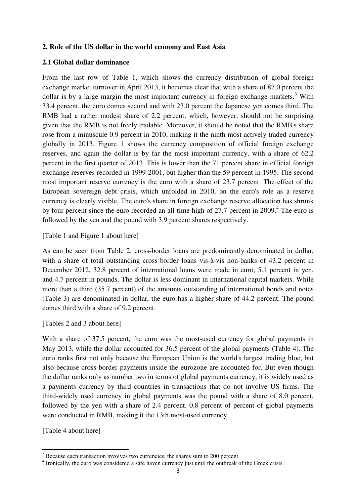#### **2. Role of the US dollar in the world economy and East Asia**

#### **2.1 Global dollar dominance**

From the last row of Table 1, which shows the currency distribution of global foreign exchange market turnover in April 2013, it becomes clear that with a share of 87.0 percent the dollar is by a large margin the most important currency in foreign exchange markets.<sup>3</sup> With 33.4 percent, the euro comes second and with 23.0 percent the Japanese yen comes third. The RMB had a rather modest share of 2.2 percent, which, however, should not be surprising given that the RMB is not freely tradable. Moreover, it should be noted that the RMB's share rose from a minuscule 0.9 percent in 2010, making it the ninth most actively traded currency globally in 2013. Figure 1 shows the currency composition of official foreign exchange reserves, and again the dollar is by far the most important currency, with a share of 62.2 percent in the first quarter of 2013. This is lower than the 71 percent share in official foreign exchange reserves recorded in 1999-2001, but higher than the 59 percent in 1995. The second most important reserve currency is the euro with a share of 23.7 percent. The effect of the European sovereign debt crisis, which unfolded in 2010, on the euro's role as a reserve currency is clearly visible. The euro's share in foreign exchange reserve allocation has shrunk by four percent since the euro recorded an all-time high of  $27.7$  percent in  $2009$ .<sup>4</sup> The euro is followed by the yen and the pound with 3.9 percent shares respectively.

#### [Table 1 and Figure 1 about here]

As can be seen from Table 2, cross-border loans are predominantly denominated in dollar, with a share of total outstanding cross-border loans vis-à-vis non-banks of 43.2 percent in December 2012. 32.8 percent of international loans were made in euro, 5.1 percent in yen, and 4.7 percent in pounds. The dollar is less dominant in international capital markets. While more than a third (35.7 percent) of the amounts outstanding of international bonds and notes (Table 3) are denominated in dollar, the euro has a higher share of 44.2 percent. The pound comes third with a share of 9.2 percent.

#### [Tables 2 and 3 about here]

With a share of 37.5 percent, the euro was the most-used currency for global payments in May 2013, while the dollar accounted for 36.5 percent of the global payments (Table 4). The euro ranks first not only because the European Union is the world's largest trading bloc, but also because cross-border payments inside the eurozone are accounted for. But even though the dollar ranks only as number two in terms of global payments currency, it is widely used as a payments currency by third countries in transactions that do not involve US firms. The third-widely used currency in global payments was the pound with a share of 8.0 percent, followed by the yen with a share of 2.4 percent. 0.8 percent of percent of global payments were conducted in RMB, making it the 13th most-used currency.

[Table 4 about here]

l

 $3$  Because each transaction involves two currencies, the shares sum to 200 percent.

<sup>&</sup>lt;sup>4</sup> Ironically, the euro was considered a safe haven currency just until the outbreak of the Greek crisis.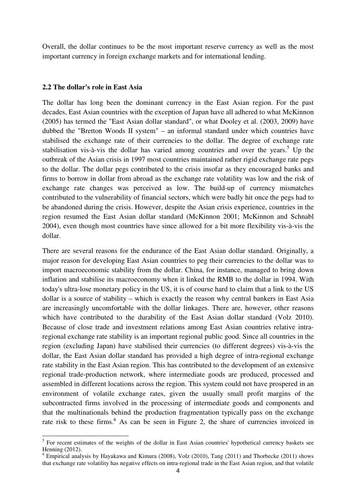Overall, the dollar continues to be the most important reserve currency as well as the most important currency in foreign exchange markets and for international lending.

#### **2.2 The dollar's role in East Asia**

l

The dollar has long been the dominant currency in the East Asian region. For the past decades, East Asian countries with the exception of Japan have all adhered to what McKinnon (2005) has termed the "East Asian dollar standard", or what Dooley et al. (2003, 2009) have dubbed the "Bretton Woods II system" – an informal standard under which countries have stabilised the exchange rate of their currencies to the dollar. The degree of exchange rate stabilisation vis-à-vis the dollar has varied among countries and over the years.<sup>5</sup> Up the outbreak of the Asian crisis in 1997 most countries maintained rather rigid exchange rate pegs to the dollar. The dollar pegs contributed to the crisis insofar as they encouraged banks and firms to borrow in dollar from abroad as the exchange rate volatility was low and the risk of exchange rate changes was perceived as low. The build-up of currency mismatches contributed to the vulnerability of financial sectors, which were badly hit once the pegs had to be abandoned during the crisis. However, despite the Asian crisis experience, countries in the region resumed the East Asian dollar standard (McKinnon 2001; McKinnon and Schnabl 2004), even though most countries have since allowed for a bit more flexibility vis-à-vis the dollar.

There are several reasons for the endurance of the East Asian dollar standard. Originally, a major reason for developing East Asian countries to peg their currencies to the dollar was to import macroeconomic stability from the dollar. China, for instance, managed to bring down inflation and stabilise its macroeconomy when it linked the RMB to the dollar in 1994. With today's ultra-lose monetary policy in the US, it is of course hard to claim that a link to the US dollar is a source of stability – which is exactly the reason why central bankers in East Asia are increasingly uncomfortable with the dollar linkages. There are, however, other reasons which have contributed to the durability of the East Asian dollar standard (Volz 2010). Because of close trade and investment relations among East Asian countries relative intraregional exchange rate stability is an important regional public good. Since all countries in the region (excluding Japan) have stabilised their currencies (to different degrees) vis-à-vis the dollar, the East Asian dollar standard has provided a high degree of intra-regional exchange rate stability in the East Asian region. This has contributed to the development of an extensive regional trade-production network, where intermediate goods are produced, processed and assembled in different locations across the region. This system could not have prospered in an environment of volatile exchange rates, given the usually small profit margins of the subcontracted firms involved in the processing of intermediate goods and components and that the multinationals behind the production fragmentation typically pass on the exchange rate risk to these firms.<sup>6</sup> As can be seen in Figure 2, the share of currencies invoiced in

<sup>&</sup>lt;sup>5</sup> For recent estimates of the weights of the dollar in East Asian countries' hypothetical currency baskets see Henning (2012).

<sup>&</sup>lt;sup>6</sup> Empirical analysis by Hayakawa and Kimura (2008), Volz (2010), Tang (2011) and Thorbecke (2011) shows that exchange rate volatility has negative effects on intra-regional trade in the East Asian region, and that volatile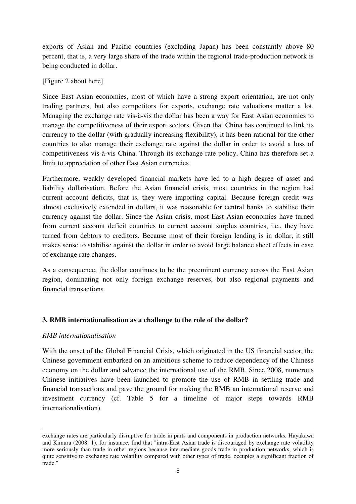exports of Asian and Pacific countries (excluding Japan) has been constantly above 80 percent, that is, a very large share of the trade within the regional trade-production network is being conducted in dollar.

[Figure 2 about here]

Since East Asian economies, most of which have a strong export orientation, are not only trading partners, but also competitors for exports, exchange rate valuations matter a lot. Managing the exchange rate vis-à-vis the dollar has been a way for East Asian economies to manage the competitiveness of their export sectors. Given that China has continued to link its currency to the dollar (with gradually increasing flexibility), it has been rational for the other countries to also manage their exchange rate against the dollar in order to avoid a loss of competitiveness vis-à-vis China. Through its exchange rate policy, China has therefore set a limit to appreciation of other East Asian currencies.

Furthermore, weakly developed financial markets have led to a high degree of asset and liability dollarisation. Before the Asian financial crisis, most countries in the region had current account deficits, that is, they were importing capital. Because foreign credit was almost exclusively extended in dollars, it was reasonable for central banks to stabilise their currency against the dollar. Since the Asian crisis, most East Asian economies have turned from current account deficit countries to current account surplus countries, i.e., they have turned from debtors to creditors. Because most of their foreign lending is in dollar, it still makes sense to stabilise against the dollar in order to avoid large balance sheet effects in case of exchange rate changes.

As a consequence, the dollar continues to be the preeminent currency across the East Asian region, dominating not only foreign exchange reserves, but also regional payments and financial transactions.

#### **3. RMB internationalisation as a challenge to the role of the dollar?**

#### *RMB internationalisation*

.<br>-

With the onset of the Global Financial Crisis, which originated in the US financial sector, the Chinese government embarked on an ambitious scheme to reduce dependency of the Chinese economy on the dollar and advance the international use of the RMB. Since 2008, numerous Chinese initiatives have been launched to promote the use of RMB in settling trade and financial transactions and pave the ground for making the RMB an international reserve and investment currency (cf. Table 5 for a timeline of major steps towards RMB internationalisation).

exchange rates are particularly disruptive for trade in parts and components in production networks. Hayakawa and Kimura (2008: 1), for instance, find that "intra-East Asian trade is discouraged by exchange rate volatility more seriously than trade in other regions because intermediate goods trade in production networks, which is quite sensitive to exchange rate volatility compared with other types of trade, occupies a significant fraction of trade."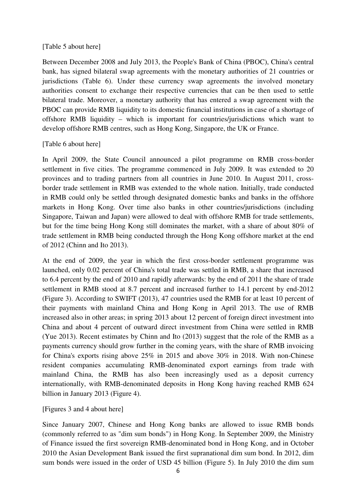#### [Table 5 about here]

Between December 2008 and July 2013, the People's Bank of China (PBOC), China's central bank, has signed bilateral swap agreements with the monetary authorities of 21 countries or jurisdictions (Table 6). Under these currency swap agreements the involved monetary authorities consent to exchange their respective currencies that can be then used to settle bilateral trade. Moreover, a monetary authority that has entered a swap agreement with the PBOC can provide RMB liquidity to its domestic financial institutions in case of a shortage of offshore RMB liquidity – which is important for countries/jurisdictions which want to develop offshore RMB centres, such as Hong Kong, Singapore, the UK or France.

#### [Table 6 about here]

In April 2009, the State Council announced a pilot programme on RMB cross-border settlement in five cities. The programme commenced in July 2009. It was extended to 20 provinces and to trading partners from all countries in June 2010. In August 2011, crossborder trade settlement in RMB was extended to the whole nation. Initially, trade conducted in RMB could only be settled through designated domestic banks and banks in the offshore markets in Hong Kong. Over time also banks in other countries/jurisdictions (including Singapore, Taiwan and Japan) were allowed to deal with offshore RMB for trade settlements, but for the time being Hong Kong still dominates the market, with a share of about 80% of trade settlement in RMB being conducted through the Hong Kong offshore market at the end of 2012 (Chinn and Ito 2013).

At the end of 2009, the year in which the first cross-border settlement programme was launched, only 0.02 percent of China's total trade was settled in RMB, a share that increased to 6.4 percent by the end of 2010 and rapidly afterwards: by the end of 2011 the share of trade settlement in RMB stood at 8.7 percent and increased further to 14.1 percent by end-2012 (Figure 3). According to SWIFT (2013), 47 countries used the RMB for at least 10 percent of their payments with mainland China and Hong Kong in April 2013. The use of RMB increased also in other areas; in spring 2013 about 12 percent of foreign direct investment into China and about 4 percent of outward direct investment from China were settled in RMB (Yue 2013). Recent estimates by Chinn and Ito (2013) suggest that the role of the RMB as a payments currency should grow further in the coming years, with the share of RMB invoicing for China's exports rising above 25% in 2015 and above 30% in 2018. With non-Chinese resident companies accumulating RMB-denominated export earnings from trade with mainland China, the RMB has also been increasingly used as a deposit currency internationally, with RMB-denominated deposits in Hong Kong having reached RMB 624 billion in January 2013 (Figure 4).

#### [Figures 3 and 4 about here]

Since January 2007, Chinese and Hong Kong banks are allowed to issue RMB bonds (commonly referred to as "dim sum bonds") in Hong Kong. In September 2009, the Ministry of Finance issued the first sovereign RMB-denominated bond in Hong Kong, and in October 2010 the Asian Development Bank issued the first supranational dim sum bond. In 2012, dim sum bonds were issued in the order of USD 45 billion (Figure 5). In July 2010 the dim sum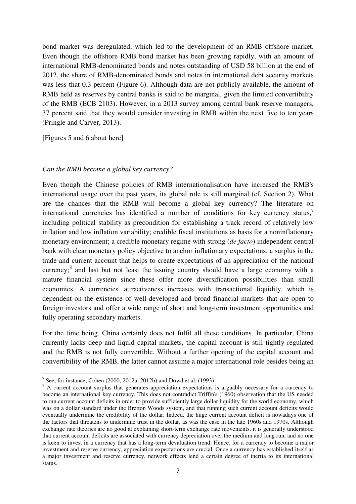bond market was deregulated, which led to the development of an RMB offshore market. Even though the offshore RMB bond market has been growing rapidly, with an amount of international RMB-denominated bonds and notes outstanding of USD 58 billion at the end of 2012, the share of RMB-denominated bonds and notes in international debt security markets was less that 0.3 percent (Figure 6). Although data are not publicly available, the amount of RMB held as reserves by central banks is said to be marginal, given the limited convertibility of the RMB (ECB 2103). However, in a 2013 survey among central bank reserve managers, 37 percent said that they would consider investing in RMB within the next five to ten years (Pringle and Carver, 2013).

[Figures 5 and 6 about here]

#### *Can the RMB become a global key currency?*

Even though the Chinese policies of RMB internationalisation have increased the RMB's international usage over the past years, its global role is still marginal (cf. Section 2). What are the chances that the RMB will become a global key currency? The literature on international currencies has identified a number of conditions for key currency status, $\frac{7}{1}$ including political stability as precondition for establishing a track record of relatively low inflation and low inflation variability; credible fiscal institutions as basis for a noninflationary monetary environment; a credible monetary regime with strong (*de facto*) independent central bank with clear monetary policy objective to anchor inflationary expectations; a surplus in the trade and current account that helps to create expectations of an appreciation of the national currency; $^8$  and last but not least the issuing country should have a large economy with a mature financial system since these offer more diversification possibilities than small economies. A currencies' attractiveness increases with transactional liquidity, which is dependent on the existence of well-developed and broad financial markets that are open to foreign investors and offer a wide range of short and long-term investment opportunities and fully operating secondary markets.

For the time being, China certainly does not fulfil all these conditions. In particular, China currently lacks deep and liquid capital markets, the capital account is still tightly regulated and the RMB is not fully convertible. Without a further opening of the capital account and convertibility of the RMB, the latter cannot assume a major international role besides being an

<sup>&</sup>lt;sup>7</sup> See, for instance, Cohen (2000, 2012a, 2012b) and Dowd et al. (1993).

<sup>&</sup>lt;sup>8</sup> A current account surplus that generates appreciation expectations is arguably necessary for a currency to become an international key currency. This does not contradict Triffin's (1960) observation that the US needed to run current account deficits in order to provide sufficiently large dollar liquidity for the world economy, which was on a dollar standard under the Bretton Woods system, and that running such current account deficits would eventually undermine the credibility of the dollar. Indeed, the huge current account deficit is nowadays one of the factors that threatens to undermine trust in the dollar, as was the case in the late 1960s and 1970s. Although exchange rate theories are no good at explaining short-term exchange rate movements, it is generally understood that current account deficits are associated with currency depreciation over the medium and long run, and no one is keen to invest in a currency that has a long-term devaluation trend. Hence, for a currency to become a major investment and reserve currency, appreciation expectations are crucial. Once a currency has established itself as a major investment and reserve currency, network effects lend a certain degree of inertia to its international status.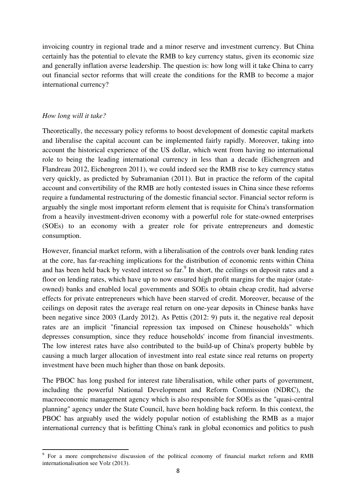invoicing country in regional trade and a minor reserve and investment currency. But China certainly has the potential to elevate the RMB to key currency status, given its economic size and generally inflation averse leadership. The question is: how long will it take China to carry out financial sector reforms that will create the conditions for the RMB to become a major international currency?

#### *How long will it take?*

l

Theoretically, the necessary policy reforms to boost development of domestic capital markets and liberalise the capital account can be implemented fairly rapidly. Moreover, taking into account the historical experience of the US dollar, which went from having no international role to being the leading international currency in less than a decade (Eichengreen and Flandreau 2012, Eichengreen 2011), we could indeed see the RMB rise to key currency status very quickly, as predicted by Subramanian (2011). But in practice the reform of the capital account and convertibility of the RMB are hotly contested issues in China since these reforms require a fundamental restructuring of the domestic financial sector. Financial sector reform is arguably the single most important reform element that is requisite for China's transformation from a heavily investment-driven economy with a powerful role for state-owned enterprises (SOEs) to an economy with a greater role for private entrepreneurs and domestic consumption.

However, financial market reform, with a liberalisation of the controls over bank lending rates at the core, has far-reaching implications for the distribution of economic rents within China and has been held back by vested interest so far.<sup>9</sup> In short, the ceilings on deposit rates and a floor on lending rates, which have up to now ensured high profit margins for the major (stateowned) banks and enabled local governments and SOEs to obtain cheap credit, had adverse effects for private entrepreneurs which have been starved of credit. Moreover, because of the ceilings on deposit rates the average real return on one-year deposits in Chinese banks have been negative since 2003 (Lardy 2012). As Pettis (2012: 9) puts it, the negative real deposit rates are an implicit "financial repression tax imposed on Chinese households" which depresses consumption, since they reduce households' income from financial investments. The low interest rates have also contributed to the build-up of China's property bubble by causing a much larger allocation of investment into real estate since real returns on property investment have been much higher than those on bank deposits.

The PBOC has long pushed for interest rate liberalisation, while other parts of government, including the powerful National Development and Reform Commission (NDRC), the macroeconomic management agency which is also responsible for SOEs as the "quasi-central planning" agency under the State Council, have been holding back reform. In this context, the PBOC has arguably used the widely popular notion of establishing the RMB as a major international currency that is befitting China's rank in global economics and politics to push

<sup>&</sup>lt;sup>9</sup> For a more comprehensive discussion of the political economy of financial market reform and RMB internationalisation see Volz (2013).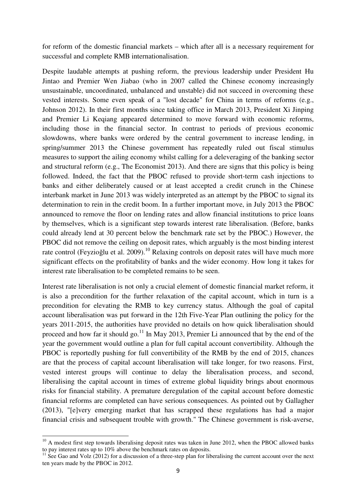for reform of the domestic financial markets – which after all is a necessary requirement for successful and complete RMB internationalisation.

Despite laudable attempts at pushing reform, the previous leadership under President Hu Jintao and Premier Wen Jiabao (who in 2007 called the Chinese economy increasingly unsustainable, uncoordinated, unbalanced and unstable) did not succeed in overcoming these vested interests. Some even speak of a "lost decade" for China in terms of reforms (e.g., Johnson 2012). In their first months since taking office in March 2013, President Xi Jinping and Premier Li Keqiang appeared determined to move forward with economic reforms, including those in the financial sector. In contrast to periods of previous economic slowdowns, where banks were ordered by the central government to increase lending, in spring/summer 2013 the Chinese government has repeatedly ruled out fiscal stimulus measures to support the ailing economy whilst calling for a deleveraging of the banking sector and structural reform (e.g., The Economist 2013). And there are signs that this policy is being followed. Indeed, the fact that the PBOC refused to provide short-term cash injections to banks and either deliberately caused or at least accepted a credit crunch in the Chinese interbank market in June 2013 was widely interpreted as an attempt by the PBOC to signal its determination to rein in the credit boom. In a further important move, in July 2013 the PBOC announced to remove the floor on lending rates and allow financial institutions to price loans by themselves, which is a significant step towards interest rate liberalisation. (Before, banks could already lend at 30 percent below the benchmark rate set by the PBOC.) However, the PBOC did not remove the ceiling on deposit rates, which arguably is the most binding interest rate control (Feyzioğlu et al. 2009).<sup>10</sup> Relaxing controls on deposit rates will have much more significant effects on the profitability of banks and the wider economy. How long it takes for interest rate liberalisation to be completed remains to be seen.

Interest rate liberalisation is not only a crucial element of domestic financial market reform, it is also a precondition for the further relaxation of the capital account, which in turn is a precondition for elevating the RMB to key currency status. Although the goal of capital account liberalisation was put forward in the 12th Five-Year Plan outlining the policy for the years 2011-2015, the authorities have provided no details on how quick liberalisation should proceed and how far it should go.<sup>11</sup> In May 2013, Premier Li announced that by the end of the year the government would outline a plan for full capital account convertibility. Although the PBOC is reportedly pushing for full convertibility of the RMB by the end of 2015, chances are that the process of capital account liberalisation will take longer, for two reasons. First, vested interest groups will continue to delay the liberalisation process, and second, liberalising the capital account in times of extreme global liquidity brings about enormous risks for financial stability. A premature deregulation of the capital account before domestic financial reforms are completed can have serious consequences. As pointed out by Gallagher (2013), "[e]very emerging market that has scrapped these regulations has had a major financial crisis and subsequent trouble with growth." The Chinese government is risk-averse,

l

 $10$  A modest first step towards liberalising deposit rates was taken in June 2012, when the PBOC allowed banks to pay interest rates up to 10% above the benchmark rates on deposits.

 $11$  See Gao and Volz (2012) for a discussion of a three-step plan for liberalising the current account over the next ten years made by the PBOC in 2012.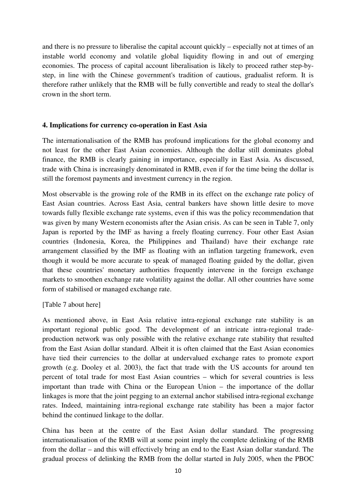and there is no pressure to liberalise the capital account quickly – especially not at times of an instable world economy and volatile global liquidity flowing in and out of emerging economies. The process of capital account liberalisation is likely to proceed rather step-bystep, in line with the Chinese government's tradition of cautious, gradualist reform. It is therefore rather unlikely that the RMB will be fully convertible and ready to steal the dollar's crown in the short term.

#### **4. Implications for currency co-operation in East Asia**

The internationalisation of the RMB has profound implications for the global economy and not least for the other East Asian economies. Although the dollar still dominates global finance, the RMB is clearly gaining in importance, especially in East Asia. As discussed, trade with China is increasingly denominated in RMB, even if for the time being the dollar is still the foremost payments and investment currency in the region.

Most observable is the growing role of the RMB in its effect on the exchange rate policy of East Asian countries. Across East Asia, central bankers have shown little desire to move towards fully flexible exchange rate systems, even if this was the policy recommendation that was given by many Western economists after the Asian crisis. As can be seen in Table 7, only Japan is reported by the IMF as having a freely floating currency. Four other East Asian countries (Indonesia, Korea, the Philippines and Thailand) have their exchange rate arrangement classified by the IMF as floating with an inflation targeting framework, even though it would be more accurate to speak of managed floating guided by the dollar, given that these countries' monetary authorities frequently intervene in the foreign exchange markets to smoothen exchange rate volatility against the dollar. All other countries have some form of stabilised or managed exchange rate.

#### [Table 7 about here]

As mentioned above, in East Asia relative intra-regional exchange rate stability is an important regional public good. The development of an intricate intra-regional tradeproduction network was only possible with the relative exchange rate stability that resulted from the East Asian dollar standard. Albeit it is often claimed that the East Asian economies have tied their currencies to the dollar at undervalued exchange rates to promote export growth (e.g. Dooley et al. 2003), the fact that trade with the US accounts for around ten percent of total trade for most East Asian countries – which for several countries is less important than trade with China or the European Union – the importance of the dollar linkages is more that the joint pegging to an external anchor stabilised intra-regional exchange rates. Indeed, maintaining intra-regional exchange rate stability has been a major factor behind the continued linkage to the dollar.

China has been at the centre of the East Asian dollar standard. The progressing internationalisation of the RMB will at some point imply the complete delinking of the RMB from the dollar – and this will effectively bring an end to the East Asian dollar standard. The gradual process of delinking the RMB from the dollar started in July 2005, when the PBOC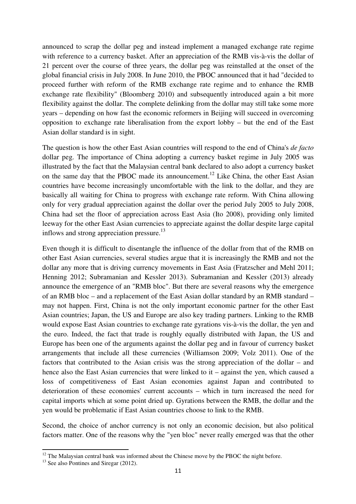announced to scrap the dollar peg and instead implement a managed exchange rate regime with reference to a currency basket. After an appreciation of the RMB vis-à-vis the dollar of 21 percent over the course of three years, the dollar peg was reinstalled at the onset of the global financial crisis in July 2008. In June 2010, the PBOC announced that it had "decided to proceed further with reform of the RMB exchange rate regime and to enhance the RMB exchange rate flexibility" (Bloomberg 2010) and subsequently introduced again a bit more flexibility against the dollar. The complete delinking from the dollar may still take some more years – depending on how fast the economic reformers in Beijing will succeed in overcoming opposition to exchange rate liberalisation from the export lobby – but the end of the East Asian dollar standard is in sight.

The question is how the other East Asian countries will respond to the end of China's *de facto* dollar peg. The importance of China adopting a currency basket regime in July 2005 was illustrated by the fact that the Malaysian central bank declared to also adopt a currency basket on the same day that the PBOC made its announcement.<sup>12</sup> Like China, the other East Asian countries have become increasingly uncomfortable with the link to the dollar, and they are basically all waiting for China to progress with exchange rate reform. With China allowing only for very gradual appreciation against the dollar over the period July 2005 to July 2008, China had set the floor of appreciation across East Asia (Ito 2008), providing only limited leeway for the other East Asian currencies to appreciate against the dollar despite large capital inflows and strong appreciation pressure.<sup>13</sup>

Even though it is difficult to disentangle the influence of the dollar from that of the RMB on other East Asian currencies, several studies argue that it is increasingly the RMB and not the dollar any more that is driving currency movements in East Asia (Fratzscher and Mehl 2011; Henning 2012; Subramanian and Kessler 2013). Subramanian and Kessler (2013) already announce the emergence of an "RMB bloc". But there are several reasons why the emergence of an RMB bloc – and a replacement of the East Asian dollar standard by an RMB standard – may not happen. First, China is not the only important economic partner for the other East Asian countries; Japan, the US and Europe are also key trading partners. Linking to the RMB would expose East Asian countries to exchange rate gyrations vis-à-vis the dollar, the yen and the euro. Indeed, the fact that trade is roughly equally distributed with Japan, the US and Europe has been one of the arguments against the dollar peg and in favour of currency basket arrangements that include all these currencies (Williamson 2009; Volz 2011). One of the factors that contributed to the Asian crisis was the strong appreciation of the dollar – and hence also the East Asian currencies that were linked to it – against the yen, which caused a loss of competitiveness of East Asian economies against Japan and contributed to deterioration of these economies' current accounts – which in turn increased the need for capital imports which at some point dried up. Gyrations between the RMB, the dollar and the yen would be problematic if East Asian countries choose to link to the RMB.

Second, the choice of anchor currency is not only an economic decision, but also political factors matter. One of the reasons why the "yen bloc" never really emerged was that the other

l

 $12$  The Malaysian central bank was informed about the Chinese move by the PBOC the night before.

 $13$  See also Pontines and Siregar (2012).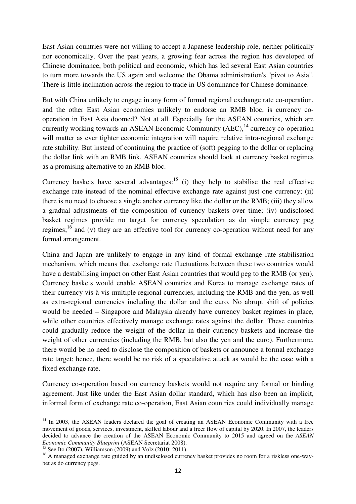East Asian countries were not willing to accept a Japanese leadership role, neither politically nor economically. Over the past years, a growing fear across the region has developed of Chinese dominance, both political and economic, which has led several East Asian countries to turn more towards the US again and welcome the Obama administration's "pivot to Asia". There is little inclination across the region to trade in US dominance for Chinese dominance.

But with China unlikely to engage in any form of formal regional exchange rate co-operation, and the other East Asian economies unlikely to endorse an RMB bloc, is currency cooperation in East Asia doomed? Not at all. Especially for the ASEAN countries, which are currently working towards an ASEAN Economic Community (AEC),<sup>14</sup> currency co-operation will matter as ever tighter economic integration will require relative intra-regional exchange rate stability. But instead of continuing the practice of (soft) pegging to the dollar or replacing the dollar link with an RMB link, ASEAN countries should look at currency basket regimes as a promising alternative to an RMB bloc.

Currency baskets have several advantages:<sup>15</sup> (i) they help to stabilise the real effective exchange rate instead of the nominal effective exchange rate against just one currency; (ii) there is no need to choose a single anchor currency like the dollar or the RMB; (iii) they allow a gradual adjustments of the composition of currency baskets over time; (iv) undisclosed basket regimes provide no target for currency speculation as do simple currency peg regimes;<sup>16</sup> and (v) they are an effective tool for currency co-operation without need for any formal arrangement.

China and Japan are unlikely to engage in any kind of formal exchange rate stabilisation mechanism, which means that exchange rate fluctuations between these two countries would have a destabilising impact on other East Asian countries that would peg to the RMB (or yen). Currency baskets would enable ASEAN countries and Korea to manage exchange rates of their currency vis-à-vis multiple regional currencies, including the RMB and the yen, as well as extra-regional currencies including the dollar and the euro. No abrupt shift of policies would be needed – Singapore and Malaysia already have currency basket regimes in place, while other countries effectively manage exchange rates against the dollar. These countries could gradually reduce the weight of the dollar in their currency baskets and increase the weight of other currencies (including the RMB, but also the yen and the euro). Furthermore, there would be no need to disclose the composition of baskets or announce a formal exchange rate target; hence, there would be no risk of a speculative attack as would be the case with a fixed exchange rate.

Currency co-operation based on currency baskets would not require any formal or binding agreement. Just like under the East Asian dollar standard, which has also been an implicit, informal form of exchange rate co-operation, East Asian countries could individually manage

 $\overline{a}$ 

<sup>&</sup>lt;sup>14</sup> In 2003, the ASEAN leaders declared the goal of creating an ASEAN Economic Community with a free movement of goods, services, investment, skilled labour and a freer flow of capital by 2020. In 2007, the leaders decided to advance the creation of the ASEAN Economic Community to 2015 and agreed on the *ASEAN Economic Community Blueprint* (ASEAN Secretariat 2008).

<sup>15</sup> See Ito (2007), Williamson (2009) and Volz (2010; 2011).

<sup>&</sup>lt;sup>16</sup> A managed exchange rate guided by an undisclosed currency basket provides no room for a riskless one-waybet as do currency pegs.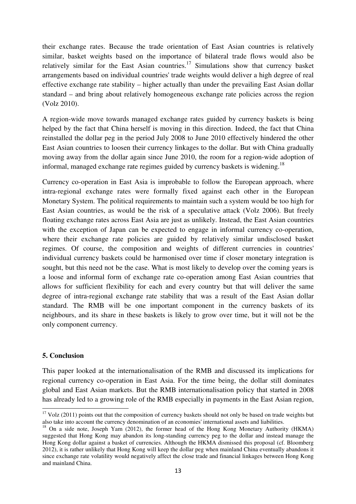their exchange rates. Because the trade orientation of East Asian countries is relatively similar, basket weights based on the importance of bilateral trade flows would also be relatively similar for the East Asian countries.<sup>17</sup> Simulations show that currency basket arrangements based on individual countries' trade weights would deliver a high degree of real effective exchange rate stability – higher actually than under the prevailing East Asian dollar standard – and bring about relatively homogeneous exchange rate policies across the region (Volz 2010).

A region-wide move towards managed exchange rates guided by currency baskets is being helped by the fact that China herself is moving in this direction. Indeed, the fact that China reinstalled the dollar peg in the period July 2008 to June 2010 effectively hindered the other East Asian countries to loosen their currency linkages to the dollar. But with China gradually moving away from the dollar again since June 2010, the room for a region-wide adoption of informal, managed exchange rate regimes guided by currency baskets is widening.<sup>18</sup>

Currency co-operation in East Asia is improbable to follow the European approach, where intra-regional exchange rates were formally fixed against each other in the European Monetary System. The political requirements to maintain such a system would be too high for East Asian countries, as would be the risk of a speculative attack (Volz 2006). But freely floating exchange rates across East Asia are just as unlikely. Instead, the East Asian countries with the exception of Japan can be expected to engage in informal currency co-operation, where their exchange rate policies are guided by relatively similar undisclosed basket regimes. Of course, the composition and weights of different currencies in countries' individual currency baskets could be harmonised over time if closer monetary integration is sought, but this need not be the case. What is most likely to develop over the coming years is a loose and informal form of exchange rate co-operation among East Asian countries that allows for sufficient flexibility for each and every country but that will deliver the same degree of intra-regional exchange rate stability that was a result of the East Asian dollar standard. The RMB will be one important component in the currency baskets of its neighbours, and its share in these baskets is likely to grow over time, but it will not be the only component currency.

#### **5. Conclusion**

This paper looked at the internationalisation of the RMB and discussed its implications for regional currency co-operation in East Asia. For the time being, the dollar still dominates global and East Asian markets. But the RMB internationalisation policy that started in 2008 has already led to a growing role of the RMB especially in payments in the East Asian region,

 $17$  Volz (2011) points out that the composition of currency baskets should not only be based on trade weights but also take into account the currency denomination of an economies' international assets and liabilities.

<sup>&</sup>lt;sup>18</sup> On a side note, Joseph Yam (2012), the former head of the Hong Kong Monetary Authority (HKMA) suggested that Hong Kong may abandon its long-standing currency peg to the dollar and instead manage the Hong Kong dollar against a basket of currencies. Although the HKMA dismissed this proposal (cf. Bloomberg 2012), it is rather unlikely that Hong Kong will keep the dollar peg when mainland China eventually abandons it since exchange rate volatility would negatively affect the close trade and financial linkages between Hong Kong and mainland China.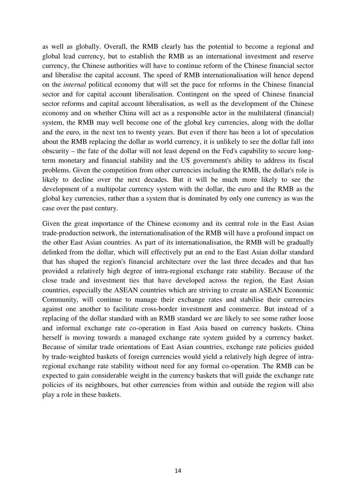as well as globally. Overall, the RMB clearly has the potential to become a regional and global lead currency, but to establish the RMB as an international investment and reserve currency, the Chinese authorities will have to continue reform of the Chinese financial sector and liberalise the capital account. The speed of RMB internationalisation will hence depend on the *internal* political economy that will set the pace for reforms in the Chinese financial sector and for capital account liberalisation. Contingent on the speed of Chinese financial sector reforms and capital account liberalisation, as well as the development of the Chinese economy and on whether China will act as a responsible actor in the multilateral (financial) system, the RMB may well become one of the global key currencies, along with the dollar and the euro, in the next ten to twenty years. But even if there has been a lot of speculation about the RMB replacing the dollar as world currency, it is unlikely to see the dollar fall into obscurity – the fate of the dollar will not least depend on the Fed's capability to secure longterm monetary and financial stability and the US government's ability to address its fiscal problems. Given the competition from other currencies including the RMB, the dollar's role is likely to decline over the next decades. But it will be much more likely to see the development of a multipolar currency system with the dollar, the euro and the RMB as the global key currencies, rather than a system that is dominated by only one currency as was the case over the past century.

Given the great importance of the Chinese economy and its central role in the East Asian trade-production network, the internationalisation of the RMB will have a profound impact on the other East Asian countries. As part of its internationalisation, the RMB will be gradually delinked from the dollar, which will effectively put an end to the East Asian dollar standard that has shaped the region's financial architecture over the last three decades and that has provided a relatively high degree of intra-regional exchange rate stability. Because of the close trade and investment ties that have developed across the region, the East Asian countries, especially the ASEAN countries which are striving to create an ASEAN Economic Community, will continue to manage their exchange rates and stabilise their currencies against one another to facilitate cross-border investment and commerce. But instead of a replacing of the dollar standard with an RMB standard we are likely to see some rather loose and informal exchange rate co-operation in East Asia based on currency baskets. China herself is moving towards a managed exchange rate system guided by a currency basket. Because of similar trade orientations of East Asian countries, exchange rate policies guided by trade-weighted baskets of foreign currencies would yield a relatively high degree of intraregional exchange rate stability without need for any formal co-operation. The RMB can be expected to gain considerable weight in the currency baskets that will guide the exchange rate policies of its neighbours, but other currencies from within and outside the region will also play a role in these baskets.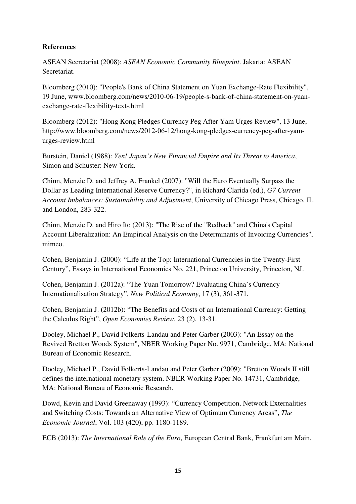### **References**

ASEAN Secretariat (2008): *ASEAN Economic Community Blueprint*. Jakarta: ASEAN Secretariat.

Bloomberg (2010): "People's Bank of China Statement on Yuan Exchange-Rate Flexibility", 19 June, www.bloomberg.com/news/2010-06-19/people-s-bank-of-china-statement-on-yuanexchange-rate-flexibility-text-.html

Bloomberg (2012): "Hong Kong Pledges Currency Peg After Yam Urges Review", 13 June, http://www.bloomberg.com/news/2012-06-12/hong-kong-pledges-currency-peg-after-yamurges-review.html

Burstein, Daniel (1988): *Yen! Japan's New Financial Empire and Its Threat to America*, Simon and Schuster: New York.

Chinn, Menzie D. and Jeffrey A. Frankel (2007): "Will the Euro Eventually Surpass the Dollar as Leading International Reserve Currency?", in Richard Clarida (ed.), *G7 Current Account Imbalances: Sustainability and Adjustment*, University of Chicago Press, Chicago, IL and London, 283-322.

Chinn, Menzie D. and Hiro Ito (2013): "The Rise of the "Redback" and China's Capital Account Liberalization: An Empirical Analysis on the Determinants of Invoicing Currencies", mimeo.

Cohen, Benjamin J. (2000): "Life at the Top: International Currencies in the Twenty-First Century", Essays in International Economics No. 221, Princeton University, Princeton, NJ.

Cohen, Benjamin J. (2012a): "The Yuan Tomorrow? Evaluating China's Currency Internationalisation Strategy", *New Political Economy*, 17 (3), 361-371.

Cohen, Benjamin J. (2012b): "The Benefits and Costs of an International Currency: Getting the Calculus Right", *Open Economies Review*, 23 (2), 13-31.

Dooley, Michael P., David Folkerts-Landau and Peter Garber (2003): "An Essay on the Revived Bretton Woods System", NBER Working Paper No. 9971, Cambridge, MA: National Bureau of Economic Research.

Dooley, Michael P., David Folkerts-Landau and Peter Garber (2009): "Bretton Woods II still defines the international monetary system, NBER Working Paper No. 14731, Cambridge, MA: National Bureau of Economic Research.

Dowd, Kevin and David Greenaway (1993): "Currency Competition, Network Externalities and Switching Costs: Towards an Alternative View of Optimum Currency Areas", *The Economic Journal*, Vol. 103 (420), pp. 1180-1189.

ECB (2013): *The International Role of the Euro*, European Central Bank, Frankfurt am Main.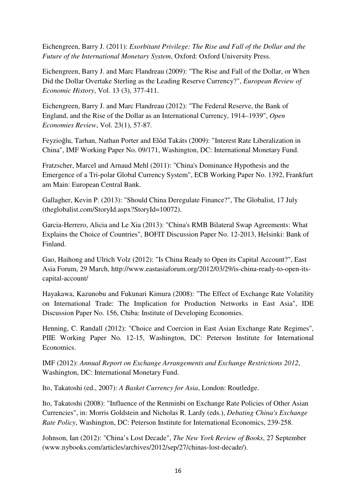Eichengreen, Barry J. (2011): *Exorbitant Privilege: The Rise and Fall of the Dollar and the Future of the International Monetary System*, Oxford: Oxford University Press.

Eichengreen, Barry J. and Marc Flandreau (2009): "The Rise and Fall of the Dollar, or When Did the Dollar Overtake Sterling as the Leading Reserve Currency?", *European Review of Economic History*, Vol. 13 (3), 377-411.

Eichengreen, Barry J. and Marc Flandreau (2012): "The Federal Reserve, the Bank of England, and the Rise of the Dollar as an International Currency, 1914–1939", *Open Economies Review*, Vol. 23(1), 57-87.

Feyzioğlu, Tarhan, Nathan Porter and Előd Takáts (2009): "Interest Rate Liberalization in China", IMF Working Paper No. 09/171, Washington, DC: International Monetary Fund.

Fratzscher, Marcel and Arnaud Mehl (2011): "China's Dominance Hypothesis and the Emergence of a Tri-polar Global Currency System", ECB Working Paper No. 1392, Frankfurt am Main: European Central Bank.

Gallagher, Kevin P. (2013): "Should China Deregulate Finance?", The Globalist, 17 July (theglobalist.com/StoryId.aspx?StoryId=10072).

Garcia-Herrero, Alicia and Le Xia (2013): "China's RMB Bilateral Swap Agreements: What Explains the Choice of Countries", BOFIT Discussion Paper No. 12-2013, Helsinki: Bank of Finland.

Gao, Haihong and Ulrich Volz (2012): "Is China Ready to Open its Capital Account?", East Asia Forum, 29 March, http://www.eastasiaforum.org/2012/03/29/is-china-ready-to-open-itscapital-account/

Hayakawa, Kazunobu and Fukunari Kimura (2008): "The Effect of Exchange Rate Volatility on International Trade: The Implication for Production Networks in East Asia", IDE Discussion Paper No. 156, Chiba: Institute of Developing Economies.

Henning, C. Randall (2012): "Choice and Coercion in East Asian Exchange Rate Regimes", PIIE Working Paper No. 12-15, Washington, DC: Peterson Institute for International Economics.

IMF (2012): *Annual Report on Exchange Arrangements and Exchange Restrictions 2012*, Washington, DC: International Monetary Fund.

Ito, Takatoshi (ed., 2007): *A Basket Currency for Asia*, London: Routledge.

Ito, Takatoshi (2008): "Influence of the Renminbi on Exchange Rate Policies of Other Asian Currencies", in: Morris Goldstein and Nicholas R. Lardy (eds.), *Debating China's Exchange Rate Policy*, Washington, DC: Peterson Institute for International Economics, 239-258.

Johnson, Ian (2012): "China's Lost Decade", *The New York Review of Books*, 27 September (www.nybooks.com/articles/archives/2012/sep/27/chinas-lost-decade/).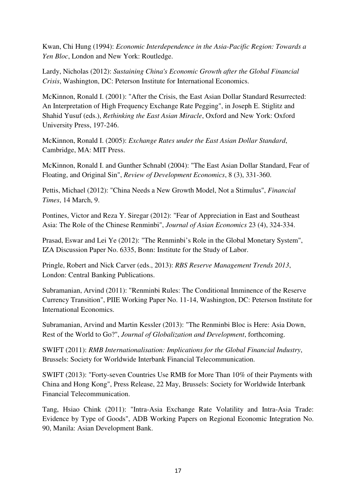Kwan, Chi Hung (1994): *Economic Interdependence in the Asia-Pacific Region: Towards a Yen Bloc*, London and New York: Routledge.

Lardy, Nicholas (2012): *Sustaining China's Economic Growth after the Global Financial Crisis*, Washington, DC: Peterson Institute for International Economics.

McKinnon, Ronald I. (2001): "After the Crisis, the East Asian Dollar Standard Resurrected: An Interpretation of High Frequency Exchange Rate Pegging", in Joseph E. Stiglitz and Shahid Yusuf (eds.), *Rethinking the East Asian Miracle*, Oxford and New York: Oxford University Press, 197-246.

McKinnon, Ronald I. (2005): *Exchange Rates under the East Asian Dollar Standard*, Cambridge, MA: MIT Press.

McKinnon, Ronald I. and Gunther Schnabl (2004): "The East Asian Dollar Standard, Fear of Floating, and Original Sin", *Review of Development Economics*, 8 (3), 331-360.

Pettis, Michael (2012): "China Needs a New Growth Model, Not a Stimulus", *Financial Times*, 14 March, 9.

Pontines, Victor and Reza Y. Siregar (2012): "Fear of Appreciation in East and Southeast Asia: The Role of the Chinese Renminbi", *Journal of Asian Economics* 23 (4), 324-334.

Prasad, Eswar and Lei Ye (2012): "The Renminbi's Role in the Global Monetary System", IZA Discussion Paper No. 6335, Bonn: Institute for the Study of Labor.

Pringle, Robert and Nick Carver (eds., 2013): *RBS Reserve Management Trends 2013*, London: Central Banking Publications.

Subramanian, Arvind (2011): "Renminbi Rules: The Conditional Imminence of the Reserve Currency Transition", PIIE Working Paper No. 11-14, Washington, DC: Peterson Institute for International Economics.

Subramanian, Arvind and Martin Kessler (2013): "The Renminbi Bloc is Here: Asia Down, Rest of the World to Go?", *Journal of Globalization and Development*, forthcoming.

SWIFT (2011): *RMB Internationalisation: Implications for the Global Financial Industry*, Brussels: Society for Worldwide Interbank Financial Telecommunication.

SWIFT (2013): "Forty-seven Countries Use RMB for More Than 10% of their Payments with China and Hong Kong", Press Release, 22 May, Brussels: Society for Worldwide Interbank Financial Telecommunication.

Tang, Hsiao Chink (2011): "Intra-Asia Exchange Rate Volatility and Intra-Asia Trade: Evidence by Type of Goods", ADB Working Papers on Regional Economic Integration No. 90, Manila: Asian Development Bank.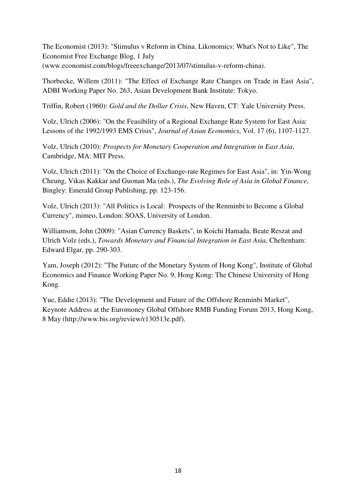The Economist (2013): "Stimulus v Reform in China. Likonomics: What's Not to Like", The Economist Free Exchange Blog, 1 July (www.economist.com/blogs/freeexchange/2013/07/stimulus-v-reform-china).

Thorbecke, Willem (2011): "The Effect of Exchange Rate Changes on Trade in East Asia", ADBI Working Paper No. 263, Asian Development Bank Institute: Tokyo.

Triffin, Robert (1960): *Gold and the Dollar Crisis*, New Haven, CT: Yale University Press.

Volz, Ulrich (2006): "On the Feasibility of a Regional Exchange Rate System for East Asia: Lessons of the 1992/1993 EMS Crisis", *Journal of Asian Economics*, Vol. 17 (6), 1107-1127.

Volz, Ulrich (2010): *Prospects for Monetary Cooperation and Integration in East Asia*, Cambridge, MA: MIT Press.

Volz, Ulrich (2011): "On the Choice of Exchange-rate Regimes for East Asia", in: Yin-Wong Cheung, Vikas Kakkar and Guonan Ma (eds.), *The Evolving Role of Asia in Global Finance*, Bingley: Emerald Group Publishing, pp. 123-156.

Volz, Ulrich (2013): "All Politics is Local: Prospects of the Renminbi to Become a Global Currency", mimeo, London: SOAS, University of London.

Williamson, John (2009): "Asian Currency Baskets", in Koichi Hamada, Beate Reszat and Ulrich Volz (eds.), *Towards Monetary and Financial Integration in East Asia*, Cheltenham: Edward Elgar, pp. 290-303.

Yam, Joseph (2012): "The Future of the Monetary System of Hong Kong", Institute of Global Economics and Finance Working Paper No. 9, Hong Kong: The Chinese University of Hong Kong.

Yue, Eddie (2013): "The Development and Future of the Offshore Renminbi Market", Keynote Address at the Euromoney Global Offshore RMB Funding Forum 2013, Hong Kong, 8 May (http://www.bis.org/review/r130513e.pdf).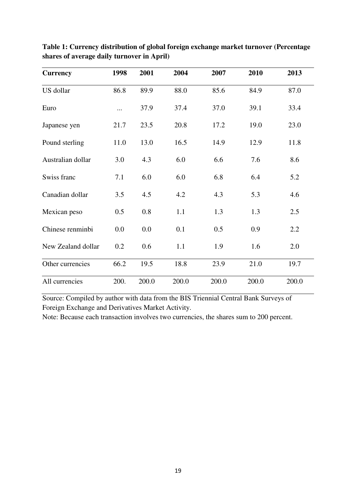| <b>Currency</b>    | 1998     | 2001    | 2004  | 2007  | 2010  | 2013  |
|--------------------|----------|---------|-------|-------|-------|-------|
| US dollar          | 86.8     | 89.9    | 88.0  | 85.6  | 84.9  | 87.0  |
| Euro               | $\cdots$ | 37.9    | 37.4  | 37.0  | 39.1  | 33.4  |
| Japanese yen       | 21.7     | 23.5    | 20.8  | 17.2  | 19.0  | 23.0  |
| Pound sterling     | 11.0     | 13.0    | 16.5  | 14.9  | 12.9  | 11.8  |
| Australian dollar  | 3.0      | 4.3     | 6.0   | 6.6   | 7.6   | 8.6   |
| Swiss franc        | 7.1      | 6.0     | 6.0   | 6.8   | 6.4   | 5.2   |
| Canadian dollar    | 3.5      | 4.5     | 4.2   | 4.3   | 5.3   | 4.6   |
| Mexican peso       | 0.5      | 0.8     | 1.1   | 1.3   | 1.3   | 2.5   |
| Chinese renminbi   | 0.0      | $0.0\,$ | 0.1   | 0.5   | 0.9   | 2.2   |
| New Zealand dollar | 0.2      | 0.6     | 1.1   | 1.9   | 1.6   | 2.0   |
| Other currencies   | 66.2     | 19.5    | 18.8  | 23.9  | 21.0  | 19.7  |
| All currencies     | 200.     | 200.0   | 200.0 | 200.0 | 200.0 | 200.0 |

**Table 1: Currency distribution of global foreign exchange market turnover (Percentage shares of average daily turnover in April)**

Source: Compiled by author with data from the BIS Triennial Central Bank Surveys of Foreign Exchange and Derivatives Market Activity.

Note: Because each transaction involves two currencies, the shares sum to 200 percent.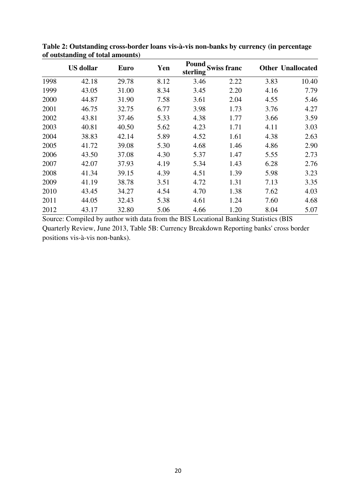|      | <b>US</b> dollar | <b>Euro</b> | Yen  | Pound<br>sterling | <b>Swiss franc</b> |      | <b>Other Unallocated</b> |
|------|------------------|-------------|------|-------------------|--------------------|------|--------------------------|
| 1998 | 42.18            | 29.78       | 8.12 | 3.46              | 2.22               | 3.83 | 10.40                    |
| 1999 | 43.05            | 31.00       | 8.34 | 3.45              | 2.20               | 4.16 | 7.79                     |
| 2000 | 44.87            | 31.90       | 7.58 | 3.61              | 2.04               | 4.55 | 5.46                     |
| 2001 | 46.75            | 32.75       | 6.77 | 3.98              | 1.73               | 3.76 | 4.27                     |
| 2002 | 43.81            | 37.46       | 5.33 | 4.38              | 1.77               | 3.66 | 3.59                     |
| 2003 | 40.81            | 40.50       | 5.62 | 4.23              | 1.71               | 4.11 | 3.03                     |
| 2004 | 38.83            | 42.14       | 5.89 | 4.52              | 1.61               | 4.38 | 2.63                     |
| 2005 | 41.72            | 39.08       | 5.30 | 4.68              | 1.46               | 4.86 | 2.90                     |
| 2006 | 43.50            | 37.08       | 4.30 | 5.37              | 1.47               | 5.55 | 2.73                     |
| 2007 | 42.07            | 37.93       | 4.19 | 5.34              | 1.43               | 6.28 | 2.76                     |
| 2008 | 41.34            | 39.15       | 4.39 | 4.51              | 1.39               | 5.98 | 3.23                     |
| 2009 | 41.19            | 38.78       | 3.51 | 4.72              | 1.31               | 7.13 | 3.35                     |
| 2010 | 43.45            | 34.27       | 4.54 | 4.70              | 1.38               | 7.62 | 4.03                     |
| 2011 | 44.05            | 32.43       | 5.38 | 4.61              | 1.24               | 7.60 | 4.68                     |
| 2012 | 43.17            | 32.80       | 5.06 | 4.66              | 1.20               | 8.04 | 5.07                     |
|      |                  |             |      |                   |                    |      |                          |

**Table 2: Outstanding cross-border loans vis-à-vis non-banks by currency (in percentage of outstanding of total amounts)** 

Source: Compiled by author with data from the BIS Locational Banking Statistics (BIS Quarterly Review, June 2013, Table 5B: Currency Breakdown Reporting banks' cross border positions vis-à-vis non-banks).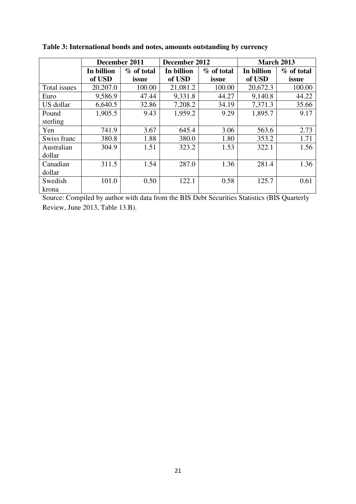|              | December 2011 |            | December 2012 |            | <b>March 2013</b> |            |
|--------------|---------------|------------|---------------|------------|-------------------|------------|
|              | In billion    | % of total | In billion    | % of total | In billion        | % of total |
|              | of USD        | issue      | of USD        | issue      | of USD            | issue      |
| Total issues | 20,207.0      | 100.00     | 21,081.2      | 100.00     | 20,672.3          | 100.00     |
| Euro         | 9,586.9       | 47.44      | 9,331.8       | 44.27      | 9,140.8           | 44.22      |
| US dollar    | 6,640.5       | 32.86      | 7,208.2       | 34.19      | 7,371.3           | 35.66      |
| Pound        | 1,905.5       | 9.43       | 1,959.2       | 9.29       | 1,895.7           | 9.17       |
| sterling     |               |            |               |            |                   |            |
| Yen          | 741.9         | 3.67       | 645.4         | 3.06       | 563.6             | 2.73       |
| Swiss franc  | 380.8         | 1.88       | 380.0         | 1.80       | 353.2             | 1.71       |
| Australian   | 304.9         | 1.51       | 323.2         | 1.53       | 322.1             | 1.56       |
| dollar       |               |            |               |            |                   |            |
| Canadian     | 311.5         | 1.54       | 287.0         | 1.36       | 281.4             | 1.36       |
| dollar       |               |            |               |            |                   |            |
| Swedish      | 101.0         | 0.50       | 122.1         | 0.58       | 125.7             | 0.61       |
| krona        |               |            |               |            |                   |            |

**Table 3: International bonds and notes, amounts outstanding by currency** 

Source: Compiled by author with data from the BIS Debt Securities Statistics (BIS Quarterly Review, June 2013, Table 13.B).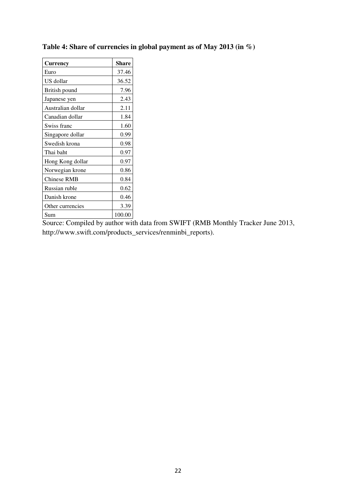| Currency           | Share  |
|--------------------|--------|
| Euro               | 37.46  |
| US dollar          | 36.52  |
| British pound      | 7.96   |
| Japanese yen       | 2.43   |
| Australian dollar  | 2.11   |
| Canadian dollar    | 1.84   |
| Swiss franc        | 1.60   |
| Singapore dollar   | 0.99   |
| Swedish krona      | 0.98   |
| Thai baht          | 0.97   |
| Hong Kong dollar   | 0.97   |
| Norwegian krone    | 0.86   |
| <b>Chinese RMB</b> | 0.84   |
| Russian ruble      | 0.62   |
| Danish krone       | 0.46   |
| Other currencies   | 3.39   |
| Sum                | 100.00 |

## **Table 4: Share of currencies in global payment as of May 2013 (in %)**

Source: Compiled by author with data from SWIFT (RMB Monthly Tracker June 2013, http://www.swift.com/products\_services/renminbi\_reports).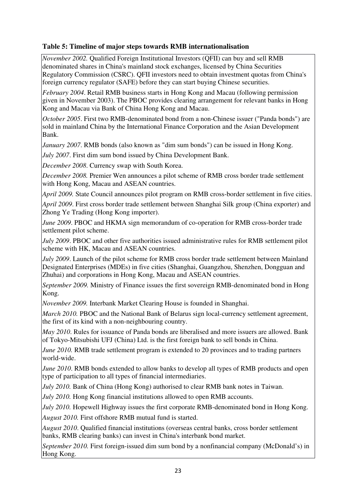## **Table 5: Timeline of major steps towards RMB internationalisation**

*November 2002.* Qualified Foreign Institutional Investors (OFII) can buy and sell RMB denominated shares in China's mainland stock exchanges, licensed by China Securities Regulatory Commission (CSRC). QFII investors need to obtain investment quotas from China's foreign currency regulator (SAFE) before they can start buying Chinese securities.

*February 2004*. Retail RMB business starts in Hong Kong and Macau (following permission given in November 2003). The PBOC provides clearing arrangement for relevant banks in Hong Kong and Macau via Bank of China Hong Kong and Macau.

*October 2005*. First two RMB-denominated bond from a non-Chinese issuer ("Panda bonds") are sold in mainland China by the International Finance Corporation and the Asian Development Bank.

*January 2007*. RMB bonds (also known as "dim sum bonds") can be issued in Hong Kong.

*July 2007*. First dim sum bond issued by China Development Bank.

*December 2008*. Currency swap with South Korea.

*December 2008.* Premier Wen announces a pilot scheme of RMB cross border trade settlement with Hong Kong, Macau and ASEAN countries.

*April 2009.* State Council announces pilot program on RMB cross-border settlement in five cities.

*April 2009*. First cross border trade settlement between Shanghai Silk group (China exporter) and Zhong Ye Trading (Hong Kong importer).

*June 2009*. PBOC and HKMA sign memorandum of co-operation for RMB cross-border trade settlement pilot scheme.

*July 2009*. PBOC and other five authorities issued administrative rules for RMB settlement pilot scheme with HK, Macau and ASEAN countries.

*July 2009*. Launch of the pilot scheme for RMB cross border trade settlement between Mainland Designated Enterprises (MDEs) in five cities (Shanghai, Guangzhou, Shenzhen, Dongguan and Zhuhai) and corporations in Hong Kong, Macau and ASEAN countries.

*September 2009.* Ministry of Finance issues the first sovereign RMB-denominated bond in Hong Kong.

*November 2009.* Interbank Market Clearing House is founded in Shanghai.

*March 2010*. PBOC and the National Bank of Belarus sign local-currency settlement agreement, the first of its kind with a non-neighbouring country.

*May 2010*. Rules for issuance of Panda bonds are liberalised and more issuers are allowed. Bank of Tokyo-Mitsubishi UFJ (China) Ltd. is the first foreign bank to sell bonds in China.

*June 2010*. RMB trade settlement program is extended to 20 provinces and to trading partners world-wide.

*June 2010*. RMB bonds extended to allow banks to develop all types of RMB products and open type of participation to all types of financial intermediaries.

*July 2010.* Bank of China (Hong Kong) authorised to clear RMB bank notes in Taiwan.

*July 2010*. Hong Kong financial institutions allowed to open RMB accounts.

*July 2010*. Hopewell Highway issues the first corporate RMB-denominated bond in Hong Kong.

*August 2010.* First offshore RMB mutual fund is started.

*August 2010*. Qualified financial institutions (overseas central banks, cross border settlement banks, RMB clearing banks) can invest in China's interbank bond market.

*September 2010.* First foreign-issued dim sum bond by a nonfinancial company (McDonald's) in Hong Kong.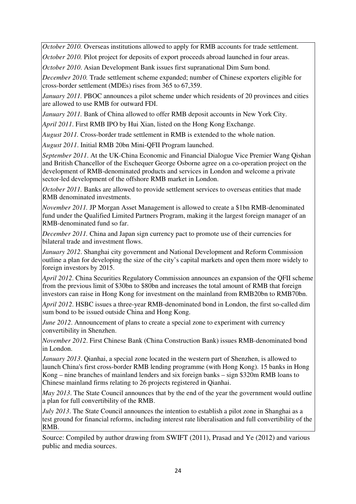*October 2010.* Overseas institutions allowed to apply for RMB accounts for trade settlement.

*October 2010*. Pilot project for deposits of export proceeds abroad launched in four areas.

*October 2010*. Asian Development Bank issues first supranational Dim Sum bond.

*December 2010.* Trade settlement scheme expanded; number of Chinese exporters eligible for cross-border settlement (MDEs) rises from 365 to 67,359.

*January 2011*. PBOC announces a pilot scheme under which residents of 20 provinces and cities are allowed to use RMB for outward FDI.

*January 2011.* Bank of China allowed to offer RMB deposit accounts in New York City.

*April 2011*. First RMB IPO by Hui Xian, listed on the Hong Kong Exchange.

*August 2011.* Cross-border trade settlement in RMB is extended to the whole nation.

*August 2011*. Initial RMB 20bn Mini-QFII Program launched.

*September 2011*. At the UK-China Economic and Financial Dialogue Vice Premier Wang Qishan and British Chancellor of the Exchequer George Osborne agree on a co-operation project on the development of RMB-denominated products and services in London and welcome a private sector-led development of the offshore RMB market in London.

*October 2011*. Banks are allowed to provide settlement services to overseas entities that made RMB denominated investments.

*November 2011.* JP Morgan Asset Management is allowed to create a \$1bn RMB-denominated fund under the Qualified Limited Partners Program, making it the largest foreign manager of an RMB-denominated fund so far.

*December 2011.* China and Japan sign currency pact to promote use of their currencies for bilateral trade and investment flows.

*January 2012*. Shanghai city government and National Development and Reform Commission outline a plan for developing the size of the city's capital markets and open them more widely to foreign investors by 2015.

*April 2012*. China Securities Regulatory Commission announces an expansion of the QFII scheme from the previous limit of \$30bn to \$80bn and increases the total amount of RMB that foreign investors can raise in Hong Kong for investment on the mainland from RMB20bn to RMB70bn.

*April 2012*. HSBC issues a three-year RMB-denominated bond in London, the first so-called dim sum bond to be issued outside China and Hong Kong.

*June 2012*. Announcement of plans to create a special zone to experiment with currency convertibility in Shenzhen.

*November 2012*. First Chinese Bank (China Construction Bank) issues RMB-denominated bond in London.

*January 2013*. Qianhai, a special zone located in the western part of Shenzhen, is allowed to launch China's first cross-border RMB lending programme (with Hong Kong). 15 banks in Hong Kong – nine branches of mainland lenders and six foreign banks – sign \$320m RMB loans to Chinese mainland firms relating to 26 projects registered in Qianhai.

*May 2013*. The State Council announces that by the end of the year the government would outline a plan for full convertibility of the RMB.

*July 2013*. The State Council announces the intention to establish a pilot zone in Shanghai as a test ground for financial reforms, including interest rate liberalisation and full convertibility of the RMB.

Source: Compiled by author drawing from SWIFT (2011), Prasad and Ye (2012) and various public and media sources.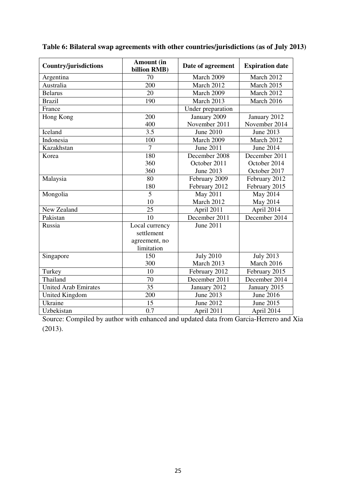| <b>Country/jurisdictions</b> | Amount (in<br>billion RMB) | Date of agreement              | <b>Expiration date</b> |
|------------------------------|----------------------------|--------------------------------|------------------------|
| Argentina                    | 70                         | March 2009                     | March 2012             |
| Australia                    | 200                        | March 2012                     | March 2015             |
| <b>Belarus</b>               | 20                         | March 2009                     | March 2012             |
| <b>Brazil</b>                | 190                        | March 2013                     | March 2016             |
| France                       |                            | Under preparation              |                        |
| Hong Kong                    | 200                        | January 2009                   | January 2012           |
|                              | 400                        | November 2011                  | November 2014          |
| Iceland                      | 3.5                        | June 2010                      | June 2013              |
| Indonesia                    | 100                        | $\overline{\text{March}}$ 2009 | March 2012             |
| Kazakhstan                   | 7                          | June 2011                      | <b>June 2014</b>       |
| Korea                        | 180                        | December 2008                  | December 2011          |
|                              | 360                        | October 2011                   | October 2014           |
|                              | 360                        | June 2013                      | October 2017           |
| Malaysia                     | 80                         | February 2009                  | February 2012          |
|                              | 180                        | February 2012                  | February 2015          |
| Mongolia                     | $\overline{5}$             | May 2011                       | May 2014               |
|                              | 10                         | March 2012                     | May 2014               |
| New Zealand                  | 25                         | April 2011                     | April 2014             |
| Pakistan                     | 10                         | December 2011                  | December 2014          |
| Russia                       | Local currency             | June 2011                      |                        |
|                              | settlement                 |                                |                        |
|                              | agreement, no              |                                |                        |
|                              | limitation                 |                                |                        |
| Singapore                    | 150                        | <b>July 2010</b>               | <b>July 2013</b>       |
|                              | 300                        | March 2013                     | March 2016             |
| Turkey                       | 10                         | February 2012                  | February 2015          |
| Thailand                     | 70                         | December 2011                  | December 2014          |
| <b>United Arab Emirates</b>  | 35                         | January 2012                   | January 2015           |
| <b>United Kingdom</b>        | 200                        | June 2013                      | June 2016              |
| Ukraine                      | 15                         | June 2012                      | June 2015              |
| Uzbekistan                   | 0.7                        | April 2011                     | April 2014             |

**Table 6: Bilateral swap agreements with other countries/jurisdictions (as of July 2013)** 

Source: Compiled by author with enhanced and updated data from Garcia-Herrero and Xia (2013).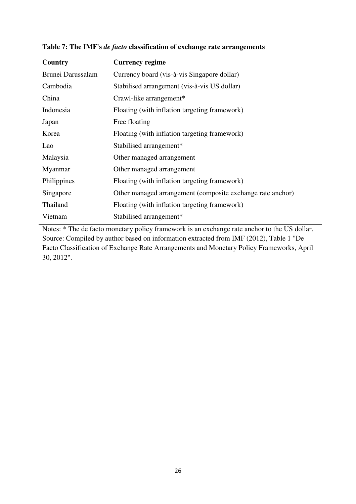| Country           | <b>Currency regime</b>                                     |
|-------------------|------------------------------------------------------------|
| Brunei Darussalam | Currency board (vis-à-vis Singapore dollar)                |
| Cambodia          | Stabilised arrangement (vis-à-vis US dollar)               |
| China             | Crawl-like arrangement*                                    |
| Indonesia         | Floating (with inflation targeting framework)              |
| Japan             | Free floating                                              |
| Korea             | Floating (with inflation targeting framework)              |
| Lao               | Stabilised arrangement*                                    |
| Malaysia          | Other managed arrangement                                  |
| Myanmar           | Other managed arrangement                                  |
| Philippines       | Floating (with inflation targeting framework)              |
| Singapore         | Other managed arrangement (composite exchange rate anchor) |
| Thailand          | Floating (with inflation targeting framework)              |
| Vietnam           | Stabilised arrangement*                                    |

**Table 7: The IMF's** *de facto* **classification of exchange rate arrangements** 

Notes: \* The de facto monetary policy framework is an exchange rate anchor to the US dollar. Source: Compiled by author based on information extracted from IMF (2012), Table 1 "De Facto Classification of Exchange Rate Arrangements and Monetary Policy Frameworks, April 30, 2012".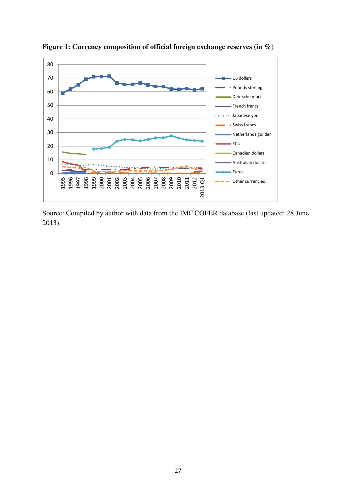

**Figure 1: Currency composition of official foreign exchange reserves (in %)** 

Source: Compiled by author with data from the IMF COFER database (last updated: 28 June 2013).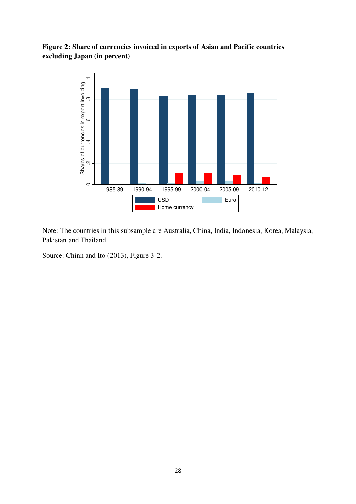**Figure 2: Share of currencies invoiced in exports of Asian and Pacific countries excluding Japan (in percent)** 



Note: The countries in this subsample are Australia, China, India, Indonesia, Korea, Malaysia, Pakistan and Thailand.

Source: Chinn and Ito (2013), Figure 3-2.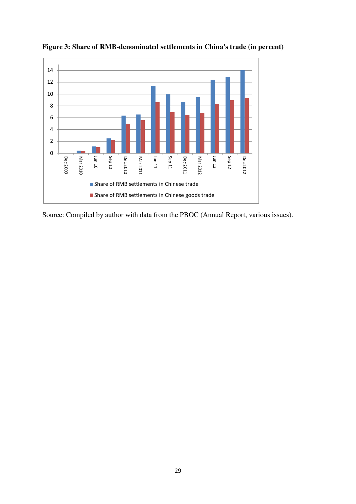

**Figure 3: Share of RMB-denominated settlements in China's trade (in percent)** 

Source: Compiled by author with data from the PBOC (Annual Report, various issues).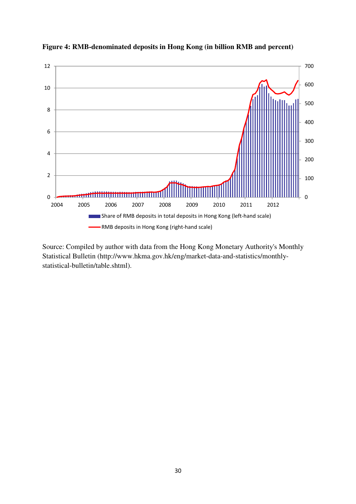

**Figure 4: RMB-denominated deposits in Hong Kong (in billion RMB and percent)**

Source: Compiled by author with data from the Hong Kong Monetary Authority's Monthly Statistical Bulletin (http://www.hkma.gov.hk/eng/market-data-and-statistics/monthlystatistical-bulletin/table.shtml).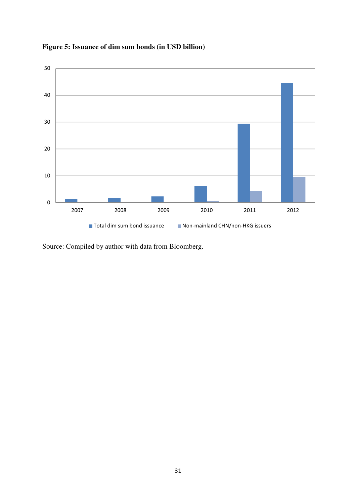



Source: Compiled by author with data from Bloomberg.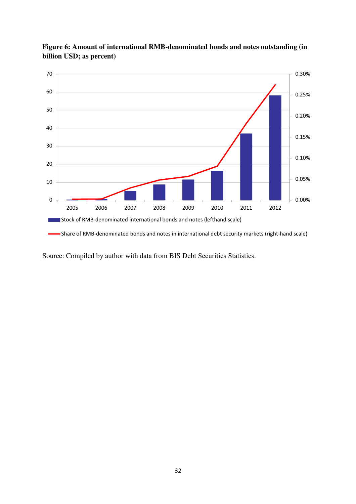

**Figure 6: Amount of international RMB-denominated bonds and notes outstanding (in billion USD; as percent)** 

Source: Compiled by author with data from BIS Debt Securities Statistics.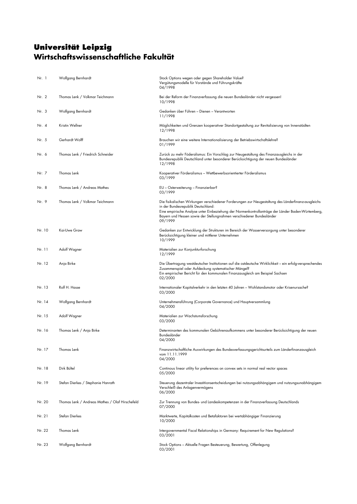## **Universität Leipzig Wirtschaftswissenschaftliche Fakultät**

| Nr. 1  | Wolfgang Bernhardt                              | Stock Options wegen oder gegen Shareholder Value?<br>Vergütungsmodelle für Vorstände und Führungskräfte<br>04/1998                                                                                                                                                                                                                 |
|--------|-------------------------------------------------|------------------------------------------------------------------------------------------------------------------------------------------------------------------------------------------------------------------------------------------------------------------------------------------------------------------------------------|
| Nr. 2  | Thomas Lenk / Volkmar Teichmann                 | Bei der Reform der Finanzverfassung die neuen Bundesländer nicht vergessen!<br>10/1998                                                                                                                                                                                                                                             |
| Nr. 3  | Wolfgang Bernhardt                              | Gedanken über Führen - Dienen - Verantworten<br>11/1998                                                                                                                                                                                                                                                                            |
| Nr. 4  | Kristin Wellner                                 | Möglichkeiten und Grenzen kooperativer Standortgestaltung zur Revitalisierung von Innenstädten<br>12/1998                                                                                                                                                                                                                          |
| Nr. 5  | Gerhardt Wolff                                  | Brauchen wir eine weitere Internationalisierung der Betriebswirtschaftslehre?<br>01/1999                                                                                                                                                                                                                                           |
| Nr. 6  | Thomas Lenk / Friedrich Schneider               | Zurück zu mehr Föderalismus: Ein Vorschlag zur Neugestaltung des Finanzausgleichs in der<br>Bundesrepublik Deutschland unter besonderer Berücksichtigung der neuen Bundesländer<br>12/1998                                                                                                                                         |
| Nr: 7  | Thomas Lenk                                     | Kooperativer Förderalismus - Wettbewerbsorientierter Förderalismus<br>03/1999                                                                                                                                                                                                                                                      |
| Nr. 8  | Thomas Lenk / Andreas Mathes                    | EU - Osterweiterung - Finanzierbar?<br>03/1999                                                                                                                                                                                                                                                                                     |
| Nr. 9  | Thomas Lenk / Volkmar Teichmann                 | Die fisikalischen Wirkungen verschiedener Forderungen zur Neugestaltung des Länderfinanz-ausgleichs<br>in der Bundesrepublik Deutschland:<br>Eine empirische Analyse unter Einbeziehung der Normenkontrollanträge der Länder Baden-Würtemberg,<br>Bayern und Hessen sowie der Stellungnahmen verschiedener Bundesländer<br>09/1999 |
| Nr. 10 | Kai-Uwe Graw                                    | Gedanken zur Entwicklung der Strukturen im Bereich der Wasserversorgung unter besonderer<br>Berücksichtigung kleiner und mittlerer Unternehmen<br>10/1999                                                                                                                                                                          |
| Nr. 11 | Adolf Wagner                                    | Materialien zur Konjunkturforschung<br>12/1999                                                                                                                                                                                                                                                                                     |
| Nr. 12 | Anja Birke                                      | Die Übertragung westdeutscher Institutionen auf die ostdeutsche Wirklichkeit – ein erfolg-versprechendes<br>Zusammenspiel oder Aufdeckung systematischer Mängel?<br>Ein empirischer Bericht für den kommunalen Finanzausgleich am Beispiel Sachsen<br>02/2000                                                                      |
| Nr. 13 | Rolf H. Hasse                                   | Internationaler Kapitalverkehr in den letzten 40 Jahren - Wohlstandsmotor oder Krisenursache?<br>03/2000                                                                                                                                                                                                                           |
| Nr. 14 | Wolfgang Bernhardt                              | Unternehmensführung (Corporate Governance) und Hauptversammlung<br>04/2000                                                                                                                                                                                                                                                         |
| Nr. 15 | Adolf Wagner                                    | Materialien zur Wachstumsforschung<br>03/2000                                                                                                                                                                                                                                                                                      |
| Nr. 16 | Thomas Lenk / Anja Birke                        | Determinanten des kommunalen Gebührenaufkommens unter besonderer Berücksichtigung der neuen<br>Bundesländer<br>04/2000                                                                                                                                                                                                             |
| Nr. 17 | Thomas Lenk                                     | Finanzwirtschaftliche Auswirkungen des Bundesverfassungsgerichtsurteils zum Länderfinanzausgleich<br>vom 11.11.1999<br>04/2000                                                                                                                                                                                                     |
| Nr. 18 | Dirk Bültel                                     | Continous linear utility for preferences on convex sets in normal real vector spaces<br>05/2000                                                                                                                                                                                                                                    |
| Nr. 19 | Stefan Dierkes / Stephanie Hanrath              | Steuerung dezentraler Investitionsentscheidungen bei nutzungsabhängigem und nutzungsunabhängigem<br>Verschleiß des Anlagenvermögens<br>06/2000                                                                                                                                                                                     |
| Nr. 20 | Thomas Lenk / Andreas Mathes / Olaf Hirschefeld | Zur Trennung von Bundes- und Landeskompetenzen in der Finanzverfassung Deutschlands<br>07/2000                                                                                                                                                                                                                                     |
| Nr. 21 | Stefan Dierkes                                  | Marktwerte, Kapitalkosten und Betafaktoren bei wertabhängiger Finanzierung<br>10/2000                                                                                                                                                                                                                                              |
| Nr. 22 | Thomas Lenk                                     | Intergovernmental Fiscal Relationships in Germany: Requirement for New Regulations?<br>03/2001                                                                                                                                                                                                                                     |
| Nr. 23 | Wolfgang Bernhardt                              | Stock Options - Aktuelle Fragen Besteuerung, Bewertung, Offenlegung<br>03/2001                                                                                                                                                                                                                                                     |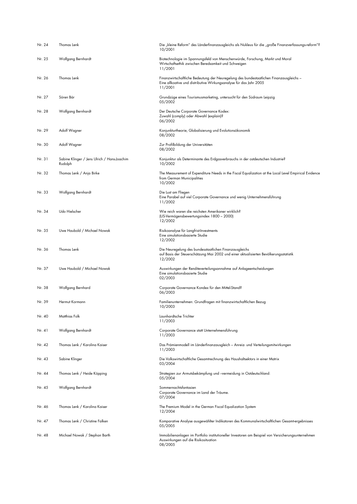| Nr. 24 | Thomas Lenk                                            | Die "kleine Reform" des Länderfinanzausgleichs als Nukleus für die "große Finanzverfassungs-reform"?<br>10/2001                                                         |
|--------|--------------------------------------------------------|-------------------------------------------------------------------------------------------------------------------------------------------------------------------------|
| Nr. 25 | Wolfgang Bernhardt                                     | Biotechnologie im Spannungsfeld von Menschenwürde, Forschung, Markt und Moral<br>Wirtschaftsethik zwischen Beredsamkeit und Schweigen<br>11/2001                        |
| Nr. 26 | Thomas Lenk                                            | Finanzwirtschaftliche Bedeutung der Neuregelung des bundestaatlichen Finanzausgleichs-<br>Eine allkoative und distributive Wirkungsanalyse für das Jahr 2005<br>11/2001 |
| Nr. 27 | Sören Bär                                              | Grundzüge eines Tourismusmarketing, untersucht für den Südraum Leipzig<br>05/2002                                                                                       |
| Nr. 28 | Wolfgang Bernhardt                                     | Der Deutsche Corporate Governance Kodex:<br>Zuwahl (comply) oder Abwahl (explain)?<br>06/2002                                                                           |
| Nr. 29 | Adolf Wagner                                           | Konjunkturtheorie, Globalisierung und Evolutionsökonomik<br>08/2002                                                                                                     |
| Nr. 30 | Adolf Wagner                                           | Zur Profilbildung der Universitäten<br>08/2002                                                                                                                          |
| Nr. 31 | Sabine Klinger / Jens Ulrich / Hans-Joachim<br>Rudolph | Konjunktur als Determinante des Erdgasverbrauchs in der ostdeutschen Industrie?<br>10/2002                                                                              |
| Nr. 32 | Thomas Lenk / Anja Birke                               | The Measurement of Expenditure Needs in the Fiscal Equalization at the Local Level Empirical Evidence<br>from German Municipalities<br>10/2002                          |
| Nr. 33 | Wolfgang Bernhardt                                     | Die Lust am Fliegen<br>Eine Parabel auf viel Corporate Governance und wenig Unternehmensführung<br>11/2002                                                              |
| Nr. 34 | Udo Hielscher                                          | Wie reich waren die reichsten Amerikaner wirklich?<br>(US-Vermögensbewertungsindex 1800 - 2000)<br>12/2002                                                              |
| Nr. 35 | Uwe Haubold / Michael Nowak                            | Risikoanalyse für Langfrist-Investments<br>Eine simulationsbasierte Studie<br>12/2002                                                                                   |
| Nr. 36 | Thomas Lenk                                            | Die Neuregelung des bundesstaatlichen Finanzausgleichs<br>auf Basis der Steuerschätzung Mai 2002 und einer aktualisierten Bevölkerungsstatistik<br>12/2002              |
| Nr. 37 | Uwe Haubold / Michael Nowak                            | Auswirkungen der Renditeverteilungsannahme auf Anlageentscheidungen<br>Eine simulationsbasierte Studie<br>02/2003                                                       |
| Nr. 38 | Wolfgang Bernhard                                      | Corporate Governance Kondex für den Mittel-Stand?<br>06/2003                                                                                                            |
| Nr. 39 | Hermut Kormann                                         | Familienunternehmen: Grundfragen mit finanzwirtschaftlichen Bezug<br>10/2003                                                                                            |
| Nr. 40 | Matthias Folk                                          | Launhardtsche Trichter<br>11/2003                                                                                                                                       |
| Nr. 41 | Wolfgang Bernhardt                                     | Corporate Governance statt Unternehmensführung<br>11/2003                                                                                                               |
| Nr. 42 | Thomas Lenk / Karolina Kaiser                          | Das Prämienmodell im Länderfinanzausgleich - Anreiz- und Verteilungsmitwirkungen<br>11/2003                                                                             |
| Nr. 43 | Sabine Klinger                                         | Die Volkswirtschaftliche Gesamtrechnung des Haushaltsektors in einer Matrix<br>03/2004                                                                                  |
| Nr. 44 | Thomas Lenk / Heide Köpping                            | Strategien zur Armutsbekämpfung und -vermeidung in Ostdeutschland:<br>05/2004                                                                                           |
| Nr. 45 | Wolfgang Bernhardt                                     | Sommernachtsfantasien<br>Corporate Governance im Land der Träume.<br>07/2004                                                                                            |
| Nr. 46 | Thomas Lenk / Karolina Kaiser                          | The Premium Model in the German Fiscal Equalization System<br>12/2004                                                                                                   |
| Nr. 47 | Thomas Lenk / Christine Falken                         | Komparative Analyse ausgewählter Indikatoren des Kommunalwirtschaftlichen Gesamt-ergebnisses<br>05/2005                                                                 |
| Nr. 48 | Michael Nowak / Stephan Barth                          | Immobilienanlagen im Portfolio institutioneller Investoren am Beispiel von Versicherungsunternehmen<br>Auswirkungen auf die Risikosituation<br>08/2005                  |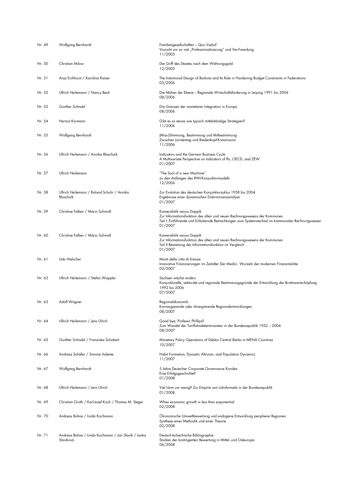| Nr. 49 | Wolfgang Bernhardt                                               | Familiengesellschaften - Quo Vadis?<br>Vorsicht vor zu viel "Professionalisierung" und Ver-Fremdung<br>11/2005                                                                                                         |
|--------|------------------------------------------------------------------|------------------------------------------------------------------------------------------------------------------------------------------------------------------------------------------------------------------------|
| Nr. 50 | <b>Christian Milow</b>                                           | Der Griff des Staates nach dem Währungsgold<br>12/2005                                                                                                                                                                 |
| Nr. 51 | Anja Eichhorst / Karolina Kaiser                                 | The Instiutional Design of Bailouts and Its Role in Hardening Budget Constraints in Federations<br>03/2006                                                                                                             |
| Nr. 52 | Ullrich Heilemann / Nancy Beck                                   | Die Mühen der Ebene - Regionale Wirtschaftsförderung in Leipzig 1991 bis 2004<br>08/2006                                                                                                                               |
| Nr. 53 | Gunther Schnabl                                                  | Die Grenzen der monetären Integration in Europa<br>08/2006                                                                                                                                                             |
| Nr. 54 | Hermut Kormann                                                   | Gibt es so etwas wie typisch mittelständige Strategien?<br>11/2006                                                                                                                                                     |
| Nr. 55 | Wolfgang Bernhardt                                               | (Miss-)Stimmung, Bestimmung und Mitbestimmung<br>Zwischen Juristentag und Biedenkopf-Kommission<br>11/2006                                                                                                             |
| Nr. 56 | Ullrich Heilemann / Annika Blaschzik                             | Indicators and the German Business Cycle<br>A Multivariate Perspective on Indicators of Ifo, OECD, and ZEW<br>01/2007                                                                                                  |
| Nr. 57 | Ullrich Heilemann                                                | "The Suol of a new Machine"<br>zu den Anfängen des RWI-Konjunkturmodells<br>12/2006                                                                                                                                    |
| Nr. 58 | Ullrich Heilemann / Roland Schuhr / Annika<br>Blaschzik          | Zur Evolution des deutschen Konjunkturzyklus 1958 bis 2004<br>Ergebnisse einer dynamischen Diskriminanzanalyse<br>01/2007                                                                                              |
| Nr. 59 | Christine Falken / Mario Schmidt                                 | Kameralistik versus Doppik<br>Zur Informationsfunktion des alten und neuen Rechnungswesens der Kommunen<br>Teil I: Einführende und Erläuternde Betrachtungen zum Systemwechsel im kommunalen Rechnungswesen<br>01/2007 |
| Nr. 60 | Christine Falken / Mario Schmidt                                 | Kameralistik versus Doppik<br>Zur Informationsfunktion des alten und neuen Rechnungswesens der Kommunen<br>Teil II Bewertung der Informationsfunktion im Vergleich<br>01/2007                                          |
| Nr. 61 | Udo Hielscher                                                    | Monti della citta di firenze<br>Innovative Finanzierungen im Zeitalter Der Medici. Wurzeln der modernen Finanzmärkte<br>03/2007                                                                                        |
| Nr. 62 | Ullrich Heilemann / Stefan Wappler                               | Sachsen wächst anders<br>Konjunkturelle, sektorale und regionale Bestimmungsgründe der Entwicklung der Bruttowertschöpfung<br>1992 bis 2006<br>07/2007                                                                 |
| Nr. 63 | Adolf Wagner                                                     | Regionalökonomik:<br>Konvergierende oder divergierende Regionalentwicklungen<br>08/2007                                                                                                                                |
| Nr. 64 | Ullrich Heilemann / Jens Ulrich                                  | Good bye, Professir Phillips?<br>Zum Wandel der Tariflohndeterminanten in der Bundesrepublik 1952 - 2004<br>08/2007                                                                                                    |
| Nr. 65 | Gunther Schnabl / Franziska Schobert                             | Monetary Policy Operations of Debtor Central Banks in MENA Countries<br>10/2007                                                                                                                                        |
| Nr. 66 | Andreas Schäfer / Simone Valente                                 | Habit Formation, Dynastic Altruism, and Population Dynamics<br>11/2007                                                                                                                                                 |
| Nr. 67 | Wolfgang Bernhardt                                               | 5 Jahre Deutscher Corporate Governance Kondex<br>Eine Erfolgsgeschichte?<br>01/2008                                                                                                                                    |
| Nr. 68 | Ullrich Heilemann / Jens Ulrich                                  | Viel Lärm um wenig? Zur Empirie von Lohnformeln in der Bundesrepublik<br>01/2008                                                                                                                                       |
| Nr. 69 | Christian Groth / Karl-Josef Koch / Thomas M. Steger             | When economic growth is less than exponential<br>02/2008                                                                                                                                                               |
| Nr. 70 | Andreas Bohne / Linda Kochmann                                   | Okonomische Umweltbewertung und endogene Entwicklung peripherer Regionen<br>Synthese einer Methodik und einer Theorie<br>02/2008                                                                                       |
| Nr. 71 | Andreas Bohne / Linda Kochmann / Jan Slavík / Lenka<br>Slavíková | Deutsch-tschechische Bibliographie<br>Studien der kontingenten Bewertung in Mittel- und Osteuropa<br>06/2008                                                                                                           |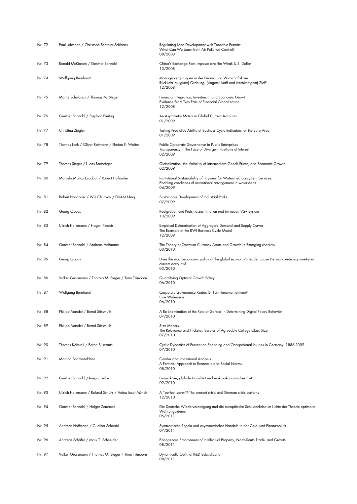| Nr. 72 | Paul Lehmann / Christoph Schröter-Schlaack            | Regulating Land Development with Tradable Permits:<br>What Can We Learn from Air Pollution Control?<br>08/2008                                         |
|--------|-------------------------------------------------------|--------------------------------------------------------------------------------------------------------------------------------------------------------|
| Nr. 73 | Ronald McKinnon / Gunther Schnabl                     | China's Exchange Rate Impasse and the Weak U.S. Dollar<br>10/2008                                                                                      |
| Nr: 74 | Wolfgang Bernhardt                                    | Managervergütungen in der Finanz- und Wirtschaftskrise<br>Rückkehr zu (guter) Ordnung, (klugem) Maß und (vernünftigem) Ziel?<br>12/2008                |
| Nr. 75 | Moritz Schularick / Thomas M. Steger                  | Financial Integration, Investment, and Economic Growth:<br>Evidence From Two Eras of Financial Globalization<br>12/2008                                |
| Nr. 76 | Gunther Schnabl / Stephan Freitag                     | An Asymmetry Matrix in Global Current Accounts<br>01/2009                                                                                              |
| Nr. 77 | Christina Ziegler                                     | Testing Predictive Ability of Business Cycle Indicators for the Euro Area<br>01/2009                                                                   |
| Nr. 78 | Thomas Lenk / Oliver Rottmann / Florian F. Woitek     | Public Corporate Governance in Public Enterprises<br>Transparency in the Face of Divergent Positions of Interest<br>02/2009                            |
| Nr. 79 | Thomas Steger / Lucas Bretschger                      | Globalization, the Volatility of Intermediate Goods Prices, and Economic Growth<br>02/2009                                                             |
| Nr. 80 | Marcela Munoz Escobar / Robert Holländer              | Institutional Sustainability of Payment for Watershed Ecosystem Services.<br>Enabling conditions of institutional arrangement in watersheds<br>04/2009 |
| Nr. 81 | Robert Holländer / WU Chunyou / DUAN Ning             | Sustainable Development of Industrial Parks<br>07/2009                                                                                                 |
| Nr. 82 | Georg Quaas                                           | Realgrößen und Preisindizes im alten und im neuen VGR-System<br>10/2009                                                                                |
| Nr. 83 | Ullrich Heilemann / Hagen Findeis                     | Empirical Determination of Aggregate Demand and Supply Curves:<br>The Example of the RWI Business Cycle Model<br>12/2009                               |
| Nr. 84 | Gunther Schnabl / Andreas Hoffmann                    | The Theory of Optimum Currency Areas and Growth in Emerging Markets<br>03/2010                                                                         |
| Nr. 85 | Georg Quaas                                           | Does the macroeconomic policy of the global economy's leader cause the worldwide asymmetry in<br>current accounts?<br>03/2010                          |
| Nr. 86 | Volker Grossmann / Thomas M. Steger / Timo Trimborn   | Quantifying Optimal Growth Policy<br>06/2010                                                                                                           |
| Nr. 87 | Wolfgang Bernhardt                                    | Corporate Governance Kodex für Familienunternehmen?<br>Eine Widerrede<br>06/2010                                                                       |
| Nr. 88 | Philipp Mandel / Bernd Süssmuth                       | A Re-Examination of the Role of Gender in Determining Digital Piracy Behavior<br>07/2010                                                               |
| Nr. 89 | Philipp Mandel / Bernd Süssmuth                       | Size Matters.<br>The Relevance and Hicksian Surplus of Agreeable College Class Size<br>07/2010                                                         |
| Nr. 90 | Thomas Kohstall / Bernd Süssmuth                      | Cyclic Dynamics of Prevention Spending and Occupational Injuries in Germany: 1886-2009<br>07/2010                                                      |
| Nr. 91 | Martina Padmanabhan                                   | Gender and Institutional Analysis.<br>A Feminist Approach to Economic and Social Norms<br>08/2010                                                      |
| Nr. 92 | Gunther Schnabl / Ansgar Belke                        | Finanzkrise, globale Liquidität und makroökonomischer Exit<br>09/2010                                                                                  |
| Nr. 93 | Ullrich Heilemann / Roland Schuhr / Heinz Josef Münch | A "perfect storm"? The present crisis and German crisis patterns<br>12/2010                                                                            |
| Nr. 94 | Gunther Schnabl / Holger Zemanek                      | Die Deutsche Wiedervereinigung und die europäische Schuldenkrise im Lichte der Theorie optimaler<br>Währungsräume<br>06/2011                           |
| Nr. 95 | Andreas Hoffmann / Gunther Schnabl                    | Symmetrische Regeln und asymmetrisches Handeln in der Geld- und Finanzpolitik<br>07/2011                                                               |
| Nr. 96 | Andreas Schäfer / Maik T. Schneider                   | Endogenous Enforcement of Intellectual Property, North-South Trade, and Growth<br>08/2011                                                              |
| Nr. 97 | Volker Grossmann / Thomas M. Steger / Timo Trimborn   | Dynamically Optimal R&D Subsidization<br>08/2011                                                                                                       |